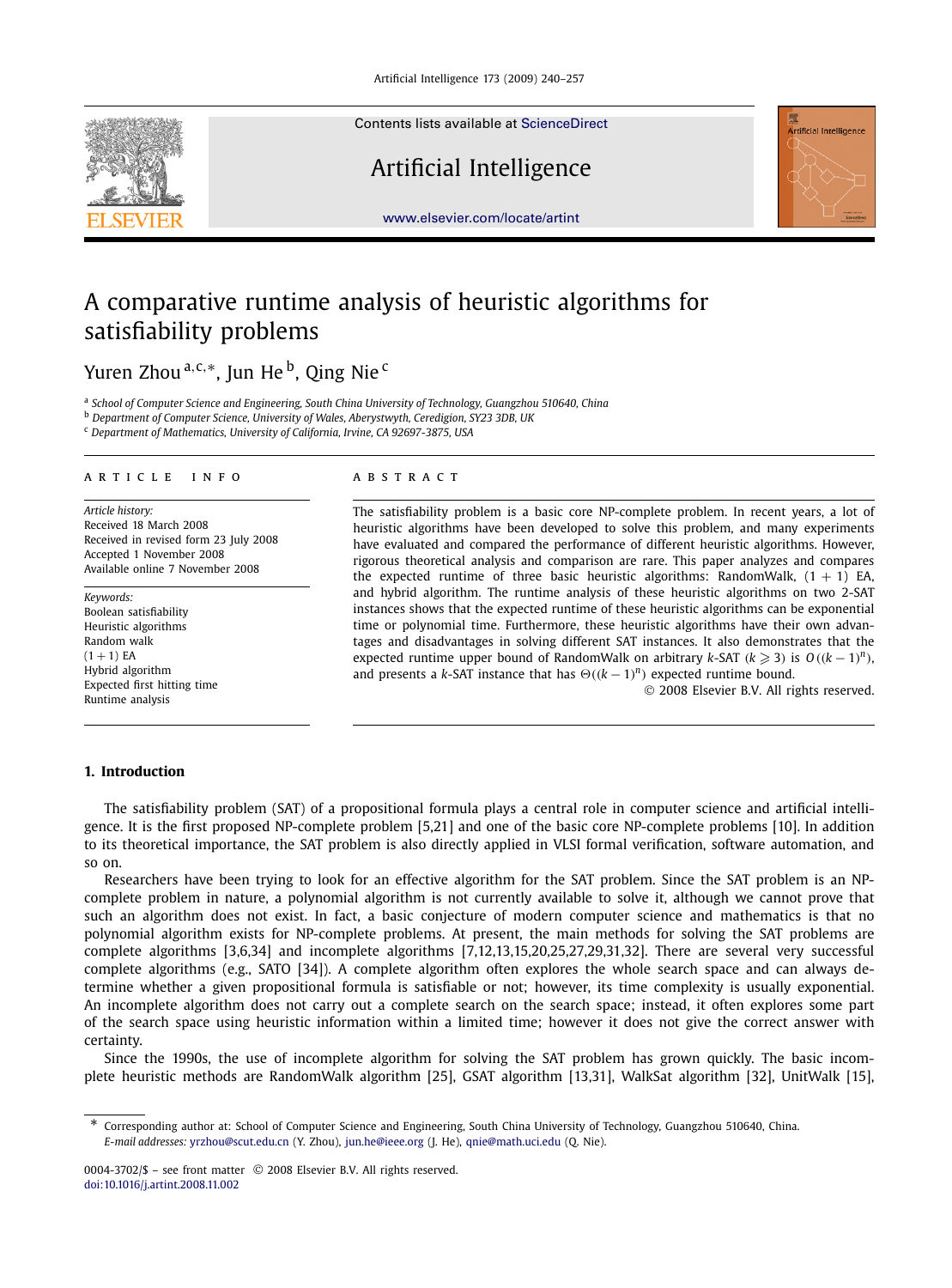

Contents lists available at [ScienceDirect](http://www.ScienceDirect.com/)

## Artificial Intelligence



[www.elsevier.com/locate/artint](http://www.elsevier.com/locate/artint)

# A comparative runtime analysis of heuristic algorithms for satisfiability problems

## Yuren Zhou<sup>a, c,∗</sup>, Jun He<sup>b</sup>, Qing Nie<sup>c</sup>

<sup>a</sup> *School of Computer Science and Engineering, South China University of Technology, Guangzhou 510640, China*

<sup>b</sup> *Department of Computer Science, University of Wales, Aberystwyth, Ceredigion, SY23 3DB, UK*

<sup>c</sup> *Department of Mathematics, University of California, Irvine, CA 92697-3875, USA*

#### article info abstract

*Article history:* Received 18 March 2008 Received in revised form 23 July 2008 Accepted 1 November 2008 Available online 7 November 2008

*Keywords:* Boolean satisfiability Heuristic algorithms Random walk  $(1 + 1)$  EA Hybrid algorithm Expected first hitting time Runtime analysis

The satisfiability problem is a basic core NP-complete problem. In recent years, a lot of heuristic algorithms have been developed to solve this problem, and many experiments have evaluated and compared the performance of different heuristic algorithms. However, rigorous theoretical analysis and comparison are rare. This paper analyzes and compares the expected runtime of three basic heuristic algorithms: RandomWalk,  $(1 + 1)$  EA, and hybrid algorithm. The runtime analysis of these heuristic algorithms on two 2-SAT instances shows that the expected runtime of these heuristic algorithms can be exponential time or polynomial time. Furthermore, these heuristic algorithms have their own advantages and disadvantages in solving different SAT instances. It also demonstrates that the expected runtime upper bound of RandomWalk on arbitrary *k*-SAT  $(k \geq 3)$  is  $O((k-1)^n)$ , and presents a *k*-SAT instance that has  $\Theta((k-1)^n)$  expected runtime bound.

© 2008 Elsevier B.V. All rights reserved.

### **1. Introduction**

The satisfiability problem (SAT) of a propositional formula plays a central role in computer science and artificial intelligence. It is the first proposed NP-complete problem [5,21] and one of the basic core NP-complete problems [10]. In addition to its theoretical importance, the SAT problem is also directly applied in VLSI formal verification, software automation, and so on.

Researchers have been trying to look for an effective algorithm for the SAT problem. Since the SAT problem is an NPcomplete problem in nature, a polynomial algorithm is not currently available to solve it, although we cannot prove that such an algorithm does not exist. In fact, a basic conjecture of modern computer science and mathematics is that no polynomial algorithm exists for NP-complete problems. At present, the main methods for solving the SAT problems are complete algorithms [3,6,34] and incomplete algorithms [7,12,13,15,20,25,27,29,31,32]. There are several very successful complete algorithms (e.g., SATO [34]). A complete algorithm often explores the whole search space and can always determine whether a given propositional formula is satisfiable or not; however, its time complexity is usually exponential. An incomplete algorithm does not carry out a complete search on the search space; instead, it often explores some part of the search space using heuristic information within a limited time; however it does not give the correct answer with certainty.

Since the 1990s, the use of incomplete algorithm for solving the SAT problem has grown quickly. The basic incomplete heuristic methods are RandomWalk algorithm [25], GSAT algorithm [13,31], WalkSat algorithm [32], UnitWalk [15],

<sup>\*</sup> Corresponding author at: School of Computer Science and Engineering, South China University of Technology, Guangzhou 510640, China. *E-mail addresses:* [yrzhou@scut.edu.cn](mailto:yrzhou@scut.edu.cn) (Y. Zhou), [jun.he@ieee.org](mailto:jun.he@ieee.org) (J. He), [qnie@math.uci.edu](mailto:qnie@math.uci.edu) (Q. Nie).

<sup>0004-3702/\$ –</sup> see front matter © 2008 Elsevier B.V. All rights reserved. [doi:10.1016/j.artint.2008.11.002](http://dx.doi.org/10.1016/j.artint.2008.11.002)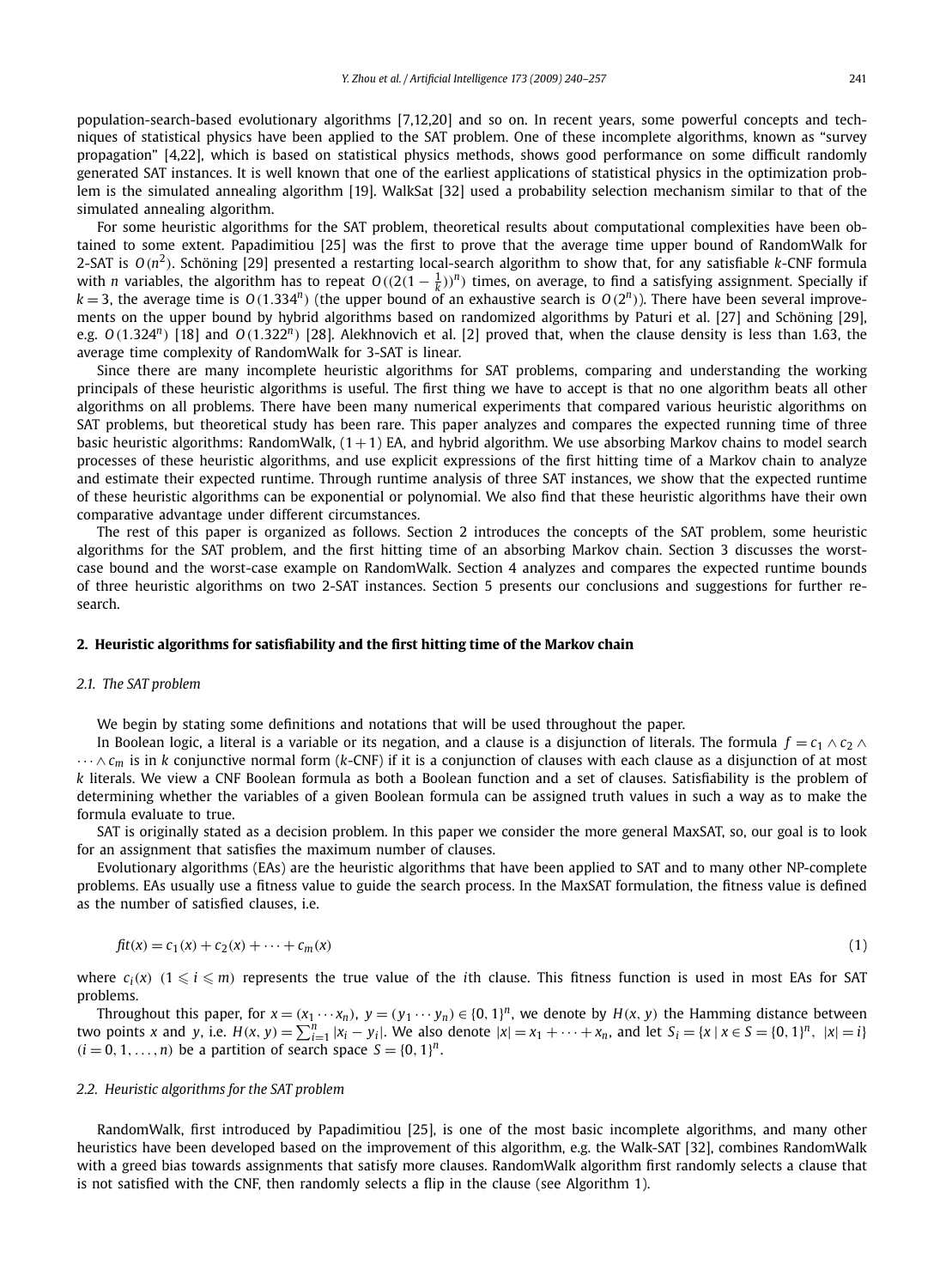population-search-based evolutionary algorithms [7,12,20] and so on. In recent years, some powerful concepts and techniques of statistical physics have been applied to the SAT problem. One of these incomplete algorithms, known as "survey propagation" [4,22], which is based on statistical physics methods, shows good performance on some difficult randomly generated SAT instances. It is well known that one of the earliest applications of statistical physics in the optimization problem is the simulated annealing algorithm [19]. WalkSat [32] used a probability selection mechanism similar to that of the simulated annealing algorithm.

For some heuristic algorithms for the SAT problem, theoretical results about computational complexities have been obtained to some extent. Papadimitiou [25] was the first to prove that the average time upper bound of RandomWalk for 2-SAT is *O(n*<sup>2</sup>*)*. Schöning [29] presented a restarting local-search algorithm to show that, for any satisfiable *k*-CNF formula with *n* variables, the algorithm has to repeat  $O((2(1-\frac{1}{k}))^n)$  times, on average, to find a satisfying assignment. Specially if  $k = 3$ , the average time is  $O(1.334^n)$  (the upper bound of an exhaustive search is  $O(2^n)$ ). There have been several improvements on the upper bound by hybrid algorithms based on randomized algorithms by Paturi et al. [27] and Schöning [29], e.g.  $O(1.324^n)$  [18] and  $O(1.322^n)$  [28]. Alekhnovich et al. [2] proved that, when the clause density is less than 1.63, the average time complexity of RandomWalk for 3-SAT is linear.

Since there are many incomplete heuristic algorithms for SAT problems, comparing and understanding the working principals of these heuristic algorithms is useful. The first thing we have to accept is that no one algorithm beats all other algorithms on all problems. There have been many numerical experiments that compared various heuristic algorithms on SAT problems, but theoretical study has been rare. This paper analyzes and compares the expected running time of three basic heuristic algorithms: RandomWalk,  $(1+1)$  EA, and hybrid algorithm. We use absorbing Markov chains to model search processes of these heuristic algorithms, and use explicit expressions of the first hitting time of a Markov chain to analyze and estimate their expected runtime. Through runtime analysis of three SAT instances, we show that the expected runtime of these heuristic algorithms can be exponential or polynomial. We also find that these heuristic algorithms have their own comparative advantage under different circumstances.

The rest of this paper is organized as follows. Section 2 introduces the concepts of the SAT problem, some heuristic algorithms for the SAT problem, and the first hitting time of an absorbing Markov chain. Section 3 discusses the worstcase bound and the worst-case example on RandomWalk. Section 4 analyzes and compares the expected runtime bounds of three heuristic algorithms on two 2-SAT instances. Section 5 presents our conclusions and suggestions for further research.

#### **2. Heuristic algorithms for satisfiability and the first hitting time of the Markov chain**

#### *2.1. The SAT problem*

We begin by stating some definitions and notations that will be used throughout the paper.

In Boolean logic, a literal is a variable or its negation, and a clause is a disjunction of literals. The formula  $f = c_1 \wedge c_2 \wedge c_1$ ···∧ *cm* is in *k* conjunctive normal form (*k*-CNF) if it is a conjunction of clauses with each clause as a disjunction of at most *k* literals. We view a CNF Boolean formula as both a Boolean function and a set of clauses. Satisfiability is the problem of determining whether the variables of a given Boolean formula can be assigned truth values in such a way as to make the formula evaluate to true.

SAT is originally stated as a decision problem. In this paper we consider the more general MaxSAT, so, our goal is to look for an assignment that satisfies the maximum number of clauses.

Evolutionary algorithms (EAs) are the heuristic algorithms that have been applied to SAT and to many other NP-complete problems. EAs usually use a fitness value to guide the search process. In the MaxSAT formulation, the fitness value is defined as the number of satisfied clauses, i.e.

$$
f_{t}(x) = c_{1}(x) + c_{2}(x) + \dots + c_{m}(x)
$$
\n(1)

where  $c_i(x)$  ( $1 \leq i \leq m$ ) represents the true value of the *i*th clause. This fitness function is used in most EAs for SAT problems.

Throughout this paper, for  $x=(x_1\cdots x_n)$ ,  $y=(y_1\cdots y_n)\in\{0,1\}^n$ , we denote by  $H(x, y)$  the Hamming distance between two points x and y, i.e.  $H(x, y) = \sum_{i=1}^{n} |x_i - y_i|$ . We also denote  $|x| = x_1 + \cdots + x_n$ , and let  $S_i = \{x \mid x \in S = \{0, 1\}^n, |x| = i\}$  $(i = 0, 1, ..., n)$  be a partition of search space  $S = \{0, 1\}^n$ .

#### *2.2. Heuristic algorithms for the SAT problem*

RandomWalk, first introduced by Papadimitiou [25], is one of the most basic incomplete algorithms, and many other heuristics have been developed based on the improvement of this algorithm, e.g. the Walk-SAT [32], combines RandomWalk with a greed bias towards assignments that satisfy more clauses. RandomWalk algorithm first randomly selects a clause that is not satisfied with the CNF, then randomly selects a flip in the clause (see Algorithm 1).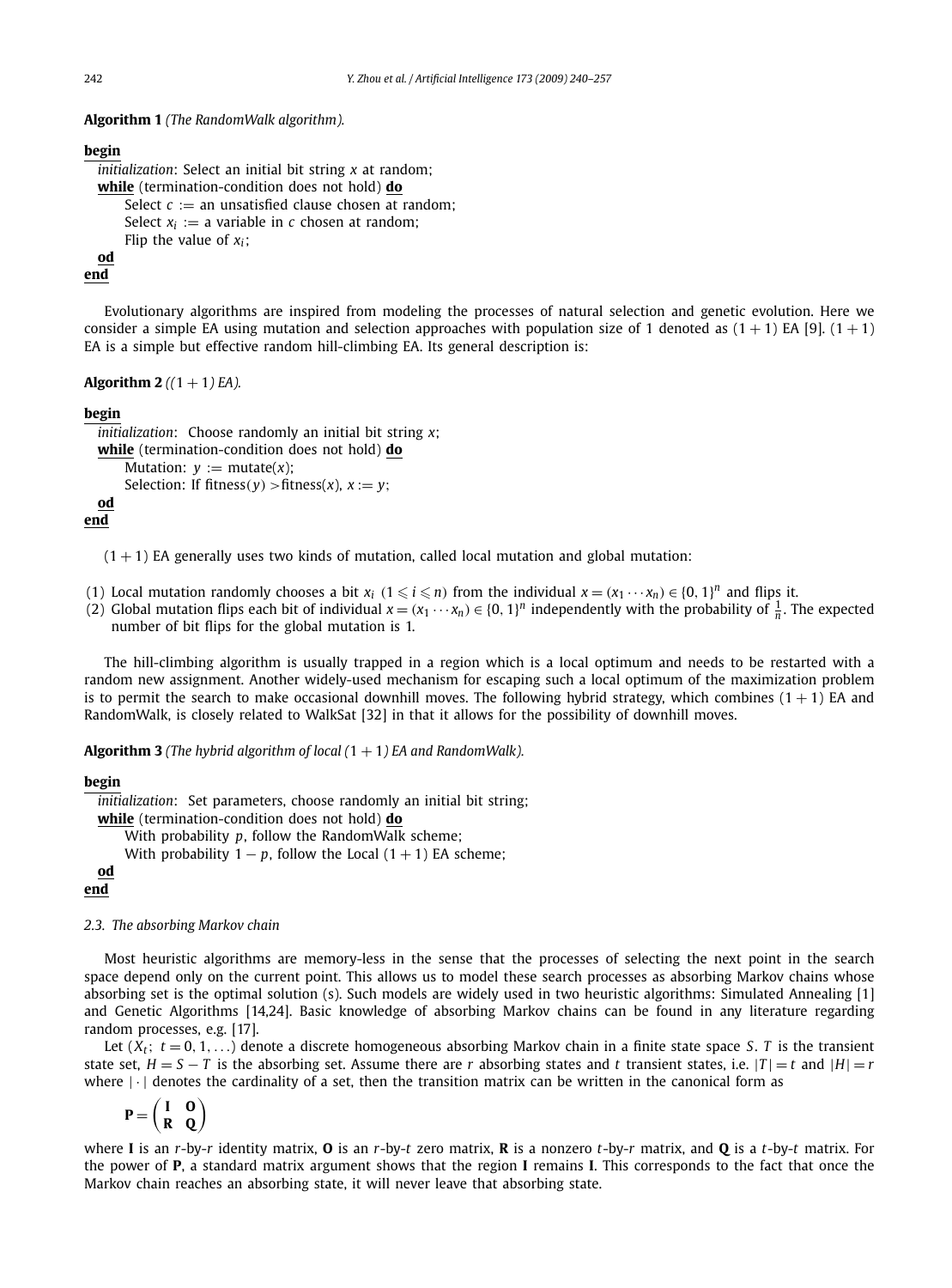**Algorithm 1** *(The RandomWalk algorithm).*

#### **begin**

```
initialization: Select an initial bit string x at random;
while (termination-condition does not hold) do
    Select c := an unsatisfied clause chosen at random;
    Select x_i := a variable in c chosen at random;
    Flip the value of x_i;
od
```
### **end**

Evolutionary algorithms are inspired from modeling the processes of natural selection and genetic evolution. Here we consider a simple EA using mutation and selection approaches with population size of 1 denoted as  $(1 + 1)$  EA [9].  $(1 + 1)$ EA is a simple but effective random hill-climbing EA. Its general description is:

**Algorithm 2**  $((1 + 1)EA)$ .

### **begin**

```
initialization: Choose randomly an initial bit string x;
while (termination-condition does not hold) do
    Mutation: v := mutate(x):
    Selection: If fitness(v) > fitness(x), x := v;
od
```
**end**

 $(1 + 1)$  EA generally uses two kinds of mutation, called local mutation and global mutation:

- (1) Local mutation randomly chooses a bit  $x_i$  ( $1 \leq i \leq n$ ) from the individual  $x = (x_1 \cdots x_n) \in \{0, 1\}^n$  and flips it.
- (2) Global mutation flips each bit of individual  $x = (x_1 \cdots x_n) \in \{0, 1\}^n$  independently with the probability of  $\frac{1}{n}$ . The expected number of bit flips for the global mutation is 1.

The hill-climbing algorithm is usually trapped in a region which is a local optimum and needs to be restarted with a random new assignment. Another widely-used mechanism for escaping such a local optimum of the maximization problem is to permit the search to make occasional downhill moves. The following hybrid strategy, which combines  $(1 + 1)$  EA and RandomWalk, is closely related to WalkSat [32] in that it allows for the possibility of downhill moves.

**Algorithm 3** *(The hybrid algorithm of local (*1 + 1*) EA and RandomWalk).*

#### **begin**

```
initialization: Set parameters, choose randomly an initial bit string;
  while (termination-condition does not hold) do
      With probability p, follow the RandomWalk scheme;
      With probability 1 - p, follow the Local (1 + 1) EA scheme;
  od
end
```
#### *2.3. The absorbing Markov chain*

Most heuristic algorithms are memory-less in the sense that the processes of selecting the next point in the search space depend only on the current point. This allows us to model these search processes as absorbing Markov chains whose absorbing set is the optimal solution (s). Such models are widely used in two heuristic algorithms: Simulated Annealing [1] and Genetic Algorithms [14,24]. Basic knowledge of absorbing Markov chains can be found in any literature regarding random processes, e.g. [17].

Let  $(X_t; t = 0, 1, ...)$  denote a discrete homogeneous absorbing Markov chain in a finite state space *S*. *T* is the transient state set,  $H = S - T$  is the absorbing set. Assume there are *r* absorbing states and *t* transient states, i.e.  $|T| = t$  and  $|H| = r$ where  $|\cdot|$  denotes the cardinality of a set, then the transition matrix can be written in the canonical form as

$$
\mathbf{P} = \begin{pmatrix} \mathbf{I} & \mathbf{O} \\ \mathbf{R} & \mathbf{Q} \end{pmatrix}
$$

where **I** is an *r*-by-*r* identity matrix, **O** is an *r*-by-*t* zero matrix, **R** is a nonzero *t*-by-*r* matrix, and **Q** is a *t*-by-*t* matrix. For the power of **P**, a standard matrix argument shows that the region **I** remains **I**. This corresponds to the fact that once the Markov chain reaches an absorbing state, it will never leave that absorbing state.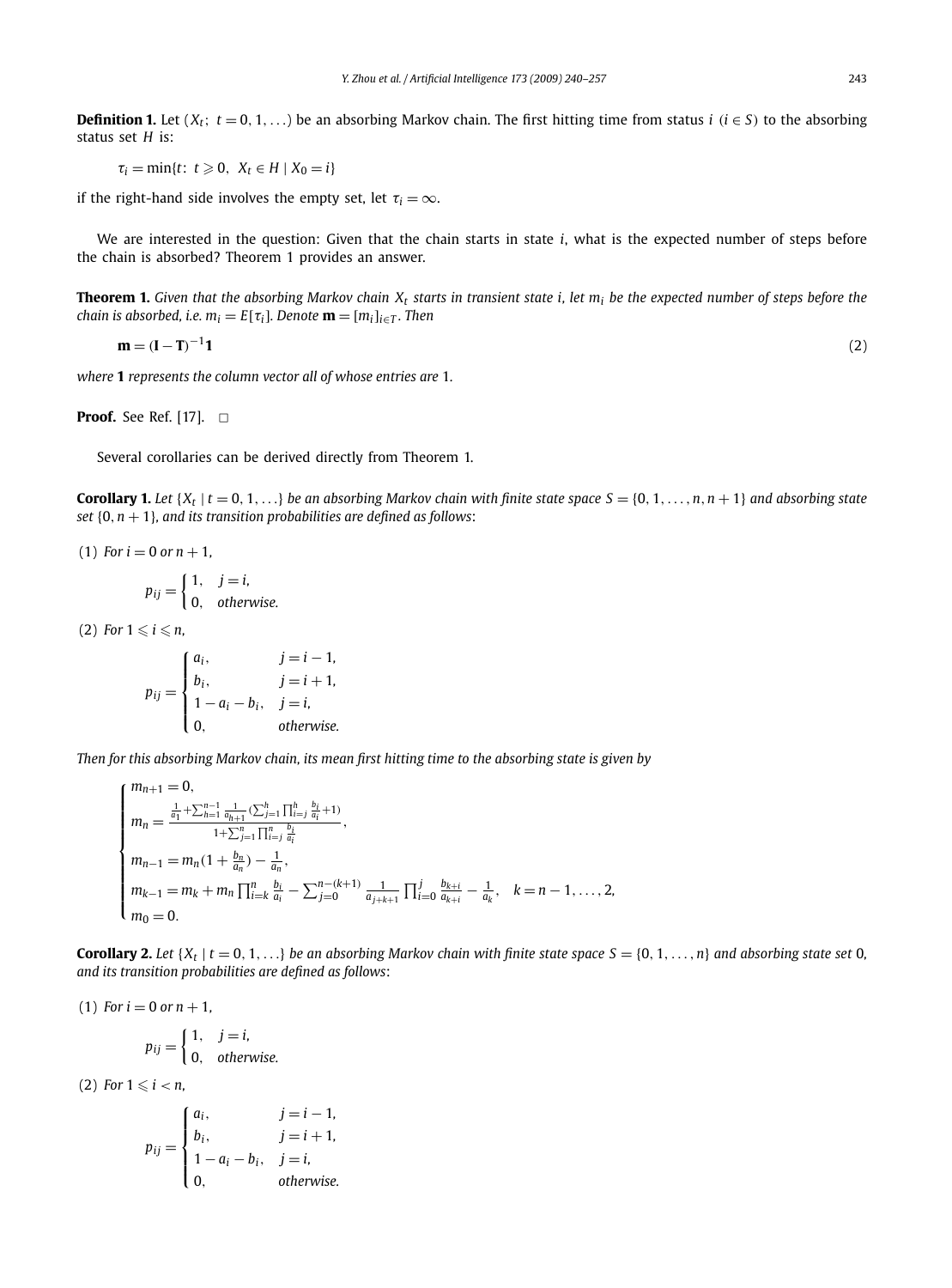**Definition 1.** Let  $(X_t; t = 0, 1, \ldots)$  be an absorbing Markov chain. The first hitting time from status *i*  $(i \in S)$  to the absorbing status set *H* is:

 $\tau_i = \min\{t: t \geq 0, X_t \in H \mid X_0 = i\}$ 

if the right-hand side involves the empty set, let  $\tau_i = \infty$ .

We are interested in the question: Given that the chain starts in state *i*, what is the expected number of steps before the chain is absorbed? Theorem 1 provides an answer.

**Theorem 1.** Given that the absorbing Markov chain  $X_t$  starts in transient state i, let  $m_i$  be the expected number of steps before the *chain is absorbed, i.e.*  $m_i = E[\tau_i]$ *. Denote*  $\mathbf{m} = [m_i]_{i \in \mathcal{I}}$ *. Then* 

$$
\mathbf{m} = (\mathbf{I} - \mathbf{T})^{-1} \mathbf{1} \tag{2}
$$

*where* **1** *represents the column vector all of whose entries are* 1*.*

**Proof.** See Ref. [17]. □

Several corollaries can be derived directly from Theorem 1.

**Corollary 1.** Let  $\{X_t | t = 0, 1, ...\}$  be an absorbing Markov chain with finite state space  $S = \{0, 1, \ldots, n, n + 1\}$  and absorbing state *set* {0*,n* + 1}*, and its transition probabilities are defined as follows*:

(1) For 
$$
i = 0
$$
 or  $n + 1$ ,

$$
p_{ij} = \begin{cases} 1, & j = i, \\ 0, & otherwise. \end{cases}
$$

 $(2)$  For  $1 \leqslant i \leqslant n$ ,

$$
p_{ij} = \begin{cases} a_i, & j = i - 1, \\ b_i, & j = i + 1, \\ 1 - a_i - b_i, & j = i, \\ 0, & \text{otherwise.} \end{cases}
$$

*Then for this absorbing Markov chain, its mean first hitting time to the absorbing state is given by*

$$
\begin{cases}\nm_{n+1} = 0, \\
m_n = \frac{\frac{1}{a_1} + \sum_{h=1}^{n-1} \frac{1}{a_{h+1}} (\sum_{j=1}^h \prod_{i=j}^h \frac{b_i}{a_i} + 1)}{1 + \sum_{j=1}^n \prod_{i=j}^n \frac{b_i}{a_i}}, \\
m_{n-1} = m_n (1 + \frac{b_n}{a_n}) - \frac{1}{a_n}, \\
m_{k-1} = m_k + m_n \prod_{i=k}^n \frac{b_i}{a_i} - \sum_{j=0}^{n-(k+1)} \frac{1}{a_{j+k+1}} \prod_{i=0}^j \frac{b_{k+i}}{a_{k+i}} - \frac{1}{a_k}, \quad k = n-1, \ldots, 2, \\
m_0 = 0.\n\end{cases}
$$

**Corollary 2.** Let  $\{X_t | t = 0, 1, \ldots\}$  be an absorbing Markov chain with finite state space  $S = \{0, 1, \ldots, n\}$  and absorbing state set 0*, and its transition probabilities are defined as follows*:

(1) For 
$$
i = 0
$$
 or  $n + 1$ ,  

$$
\begin{cases} 1 & i = i \end{cases}
$$

$$
p_{ij} = \begin{cases} 1, & j = i, \\ 0, & otherwise. \end{cases}
$$

 $(2)$  For  $1 \leq i < n$ ,

$$
p_{ij} = \begin{cases} a_i, & j = i - 1, \\ b_i, & j = i + 1, \\ 1 - a_i - b_i, & j = i, \\ 0, & \text{otherwise.} \end{cases}
$$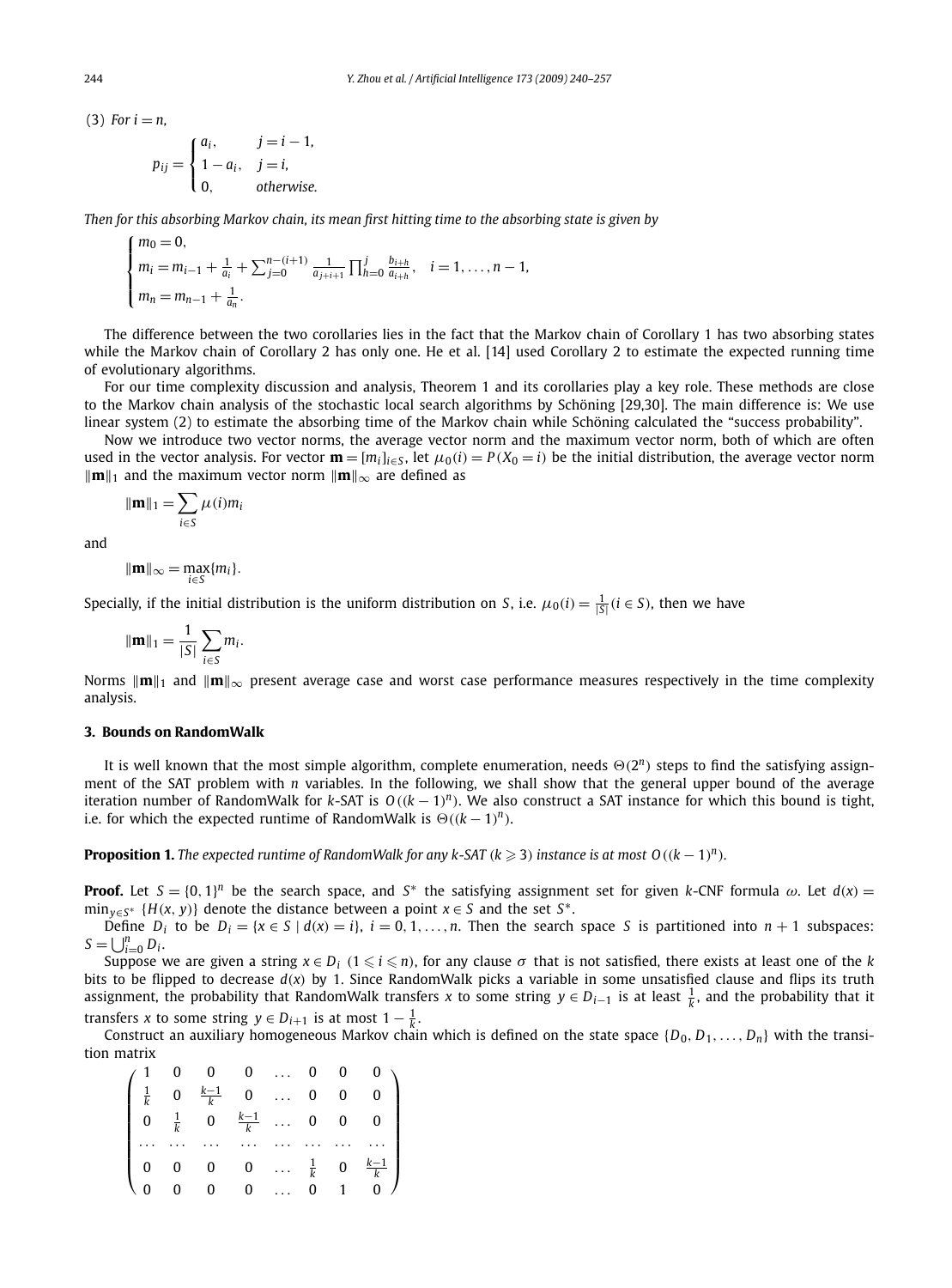$$
p_{ij} = \begin{cases} a_i, & j = i - 1, \\ 1 - a_i, & j = i, \\ 0, & otherwise. \end{cases}
$$

*Then for this absorbing Markov chain, its mean first hitting time to the absorbing state is given by*

$$
\begin{cases}\nm_0 = 0, \\
m_i = m_{i-1} + \frac{1}{a_i} + \sum_{j=0}^{n-(i+1)} \frac{1}{a_{j+i+1}} \prod_{h=0}^j \frac{b_{i+h}}{a_{i+h}}, \quad i = 1, \ldots, n-1, \\
m_n = m_{n-1} + \frac{1}{a_n}.\n\end{cases}
$$

The difference between the two corollaries lies in the fact that the Markov chain of Corollary 1 has two absorbing states while the Markov chain of Corollary 2 has only one. He et al. [14] used Corollary 2 to estimate the expected running time of evolutionary algorithms.

For our time complexity discussion and analysis, Theorem 1 and its corollaries play a key role. These methods are close to the Markov chain analysis of the stochastic local search algorithms by Schöning [29,30]. The main difference is: We use linear system (2) to estimate the absorbing time of the Markov chain while Schöning calculated the "success probability".

Now we introduce two vector norms, the average vector norm and the maximum vector norm, both of which are often used in the vector analysis. For vector  $\mathbf{m} = [m_i]_{i \in S}$ , let  $\mu_0(i) = P(X_0 = i)$  be the initial distribution, the average vector norm  $\|\mathbf{m}\|_1$  and the maximum vector norm  $\|\mathbf{m}\|_{\infty}$  are defined as

$$
\|\mathbf{m}\|_1 = \sum_{i \in S} \mu(i)m_i
$$

and

$$
\|\mathbf{m}\|_{\infty} = \max_{i \in S} \{m_i\}.
$$

Specially, if the initial distribution is the uniform distribution on *S*, i.e.  $\mu_0(i) = \frac{1}{|S|}(i \in S)$ , then we have

$$
\|\mathbf{m}\|_1 = \frac{1}{|S|} \sum_{i \in S} m_i.
$$

Norms  $\|\mathbf{m}\|_{1}$  and  $\|\mathbf{m}\|_{\infty}$  present average case and worst case performance measures respectively in the time complexity analysis.

#### **3. Bounds on RandomWalk**

It is well known that the most simple algorithm, complete enumeration, needs  $\Theta(2^n)$  steps to find the satisfying assignment of the SAT problem with *n* variables. In the following, we shall show that the general upper bound of the average iteration number of RandomWalk for *k*-SAT is  $O((k-1)^n)$ . We also construct a SAT instance for which this bound is tight, i.e. for which the expected runtime of RandomWalk is  $\Theta((k-1)^n)$ .

**Proposition 1.** The expected runtime of RandomWalk for any k-SAT  $(k \geq 3)$  instance is at most  $O((k-1)^n)$ .

**Proof.** Let  $S = \{0, 1\}^n$  be the search space, and  $S^*$  the satisfying assignment set for given *k*-CNF formula  $\omega$ . Let  $d(x)$ min*y*∈*S*<sup>∗</sup> {*H(x, <sup>y</sup>)*} denote the distance between a point *<sup>x</sup>* ∈ *<sup>S</sup>* and the set *<sup>S</sup>*∗.

Define *D<sub>i</sub>* to be *D<sub>i</sub>* = { $x \in S \mid d(x) = i$ },  $i = 0, 1, \ldots, n$ . Then the search space *S* is partitioned into  $n + 1$  subspaces:  $S = \bigcup_{i=0}^n D_i$ .

Suppose we are given a string  $x \in D_i$  ( $1 \leq i \leq n$ ), for any clause  $\sigma$  that is not satisfied, there exists at least one of the *k* bits to be flipped to decrease *d(x)* by 1. Since RandomWalk picks a variable in some unsatisfied clause and flips its truth assignment, the probability that RandomWalk transfers *x* to some string *y* ∈ *Di*−<sup>1</sup> is at least <sup>1</sup> *<sup>k</sup>* , and the probability that it transfers *x* to some string  $y \in D_{i+1}$  is at most  $1 - \frac{1}{k}$ .

Construct an auxiliary homogeneous Markov chain which is defined on the state space  $\{D_0, D_1, \ldots, D_n\}$  with the transition matrix

$$
\begin{pmatrix}\n1 & 0 & 0 & 0 & \dots & 0 & 0 & 0 \\
\frac{1}{k} & 0 & \frac{k-1}{k} & 0 & \dots & 0 & 0 & 0 \\
0 & \frac{1}{k} & 0 & \frac{k-1}{k} & \dots & 0 & 0 & 0 \\
\vdots & \vdots & \vdots & \vdots & \ddots & \vdots & \vdots & \vdots \\
0 & 0 & 0 & 0 & \dots & \frac{1}{k} & 0 & \frac{k-1}{k} \\
0 & 0 & 0 & 0 & \dots & 0 & 1 & 0\n\end{pmatrix}
$$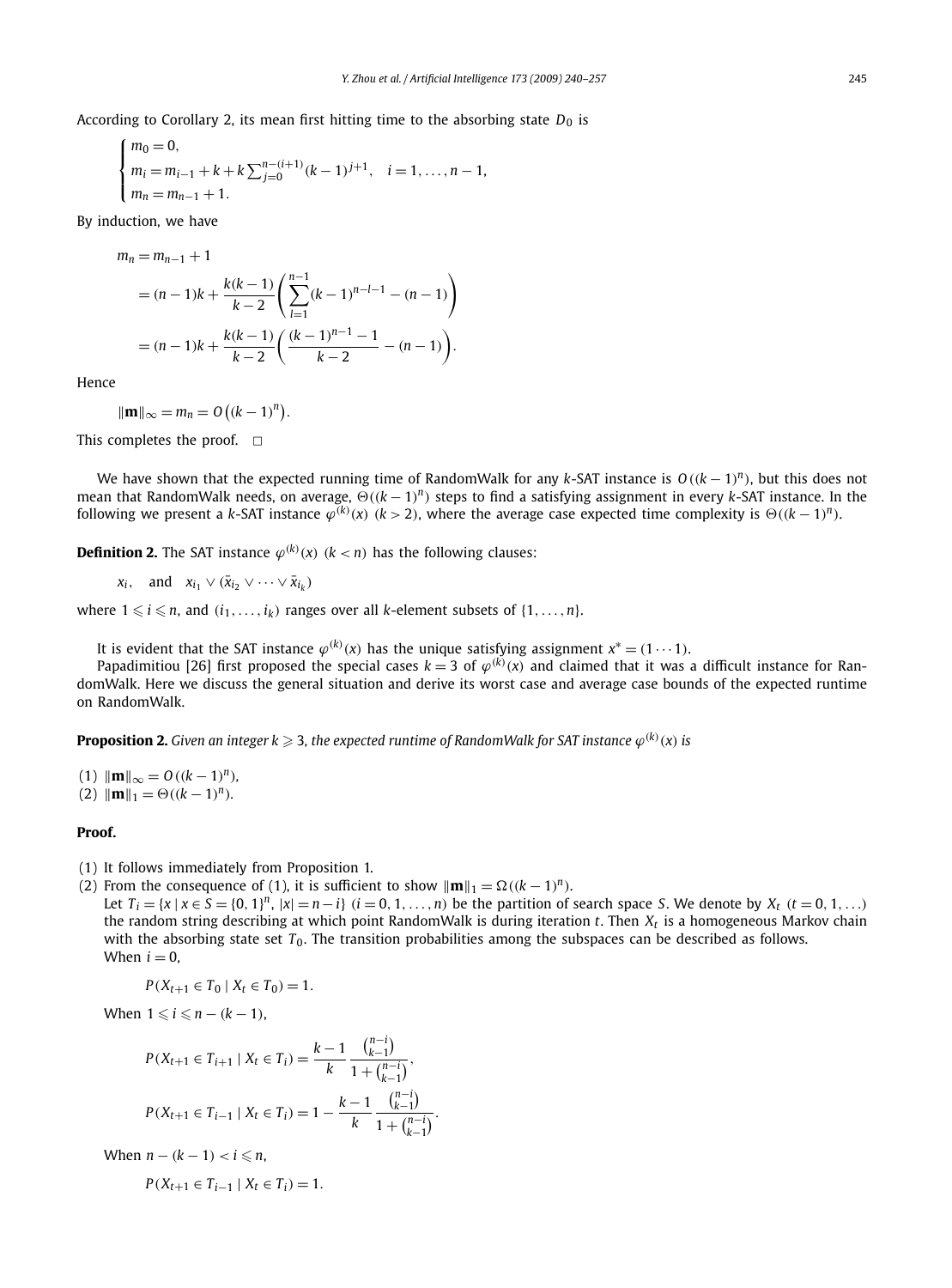According to Corollary 2, its mean first hitting time to the absorbing state  $D_0$  is

$$
\begin{cases}\nm_0 = 0, \\
m_i = m_{i-1} + k + k \sum_{j=0}^{n-(i+1)} (k-1)^{j+1}, \quad i = 1, \ldots, n-1, \\
m_n = m_{n-1} + 1.\n\end{cases}
$$

By induction, we have

$$
m_n = m_{n-1} + 1
$$
  
=  $(n-1)k + \frac{k(k-1)}{k-2} \left( \sum_{l=1}^{n-1} (k-1)^{n-l-1} - (n-1) \right)$   
=  $(n-1)k + \frac{k(k-1)}{k-2} \left( \frac{(k-1)^{n-1} - 1}{k-2} - (n-1) \right).$ 

Hence

$$
\|\mathbf{m}\|_{\infty} = m_n = O\left((k-1)^n\right).
$$

This completes the proof.  $\Box$ 

We have shown that the expected running time of RandomWalk for any *k*-SAT instance is *O((k* − 1*) <sup>n</sup>)*, but this does not mean that RandomWalk needs, on average,  $\Theta((k-1)^n)$  steps to find a satisfying assignment in every *k*-SAT instance. In the following we present a k-SAT instance  $\varphi^{(k)}(x)$   $(k>2)$ , where the average case expected time complexity is  $\Theta((k-1)^n)$ .

**Definition 2.** The SAT instance  $\varphi^{(k)}(x)$   $(k < n)$  has the following clauses:

$$
x_i
$$
, and  $x_{i_1} \vee (\bar{x}_{i_2} \vee \cdots \vee \bar{x}_{i_k})$ 

where  $1 \leqslant i \leqslant n$ , and  $(i_1, \ldots, i_k)$  ranges over all *k*-element subsets of  $\{1, \ldots, n\}$ .

It is evident that the SAT instance  $\varphi^{(k)}(x)$  has the unique satisfying assignment  $x^* = (1 \cdots 1)$ .

Papadimitiou [26] first proposed the special cases  $k=3$  of  $\varphi^{(k)}(x)$  and claimed that it was a difficult instance for RandomWalk. Here we discuss the general situation and derive its worst case and average case bounds of the expected runtime on RandomWalk.

**Proposition 2.** Given an integer k  $\geqslant$  3, the expected runtime of RandomWalk for SAT instance  $\varphi^{(k)}(x)$  is

(1) 
$$
\|\mathbf{m}\|_{\infty} = O((k-1)^n)
$$
,  
(2)  $\|\mathbf{m}\|_1 = \Theta((k-1)^n)$ .

### **Proof.**

- (1) It follows immediately from Proposition 1.
- (2) From the consequence of (1), it is sufficient to show  $\|\mathbf{m}\|_1 = \Omega((k-1)^n)$ .
- Let  $T_i = \{x \mid x \in S = \{0, 1\}^n, |x| = n i\}$   $(i = 0, 1, ..., n)$  be the partition of search space S. We denote by  $X_t$   $(t = 0, 1, ...)$ the random string describing at which point RandomWalk is during iteration *t*. Then *Xt* is a homogeneous Markov chain with the absorbing state set *T*<sub>0</sub>. The transition probabilities among the subspaces can be described as follows. When  $i = 0$ ,

$$
P(X_{t+1} \in T_0 \mid X_t \in T_0) = 1.
$$

When  $1 \leq i \leq n - (k - 1)$ ,

$$
P(X_{t+1} \in T_{i+1} \mid X_t \in T_i) = \frac{k-1}{k} \frac{\binom{n-i}{k-1}}{1 + \binom{n-i}{k-1}},
$$
  

$$
P(X_{t+1} \in T_{i-1} \mid X_t \in T_i) = 1 - \frac{k-1}{k} \frac{\binom{n-i}{k-1}}{1 + \binom{n-i}{k-1}}.
$$

When  $n - (k - 1) < i \leq n$ ,

 $P(X_{t+1} \in T_{i-1} \mid X_t \in T_i) = 1.$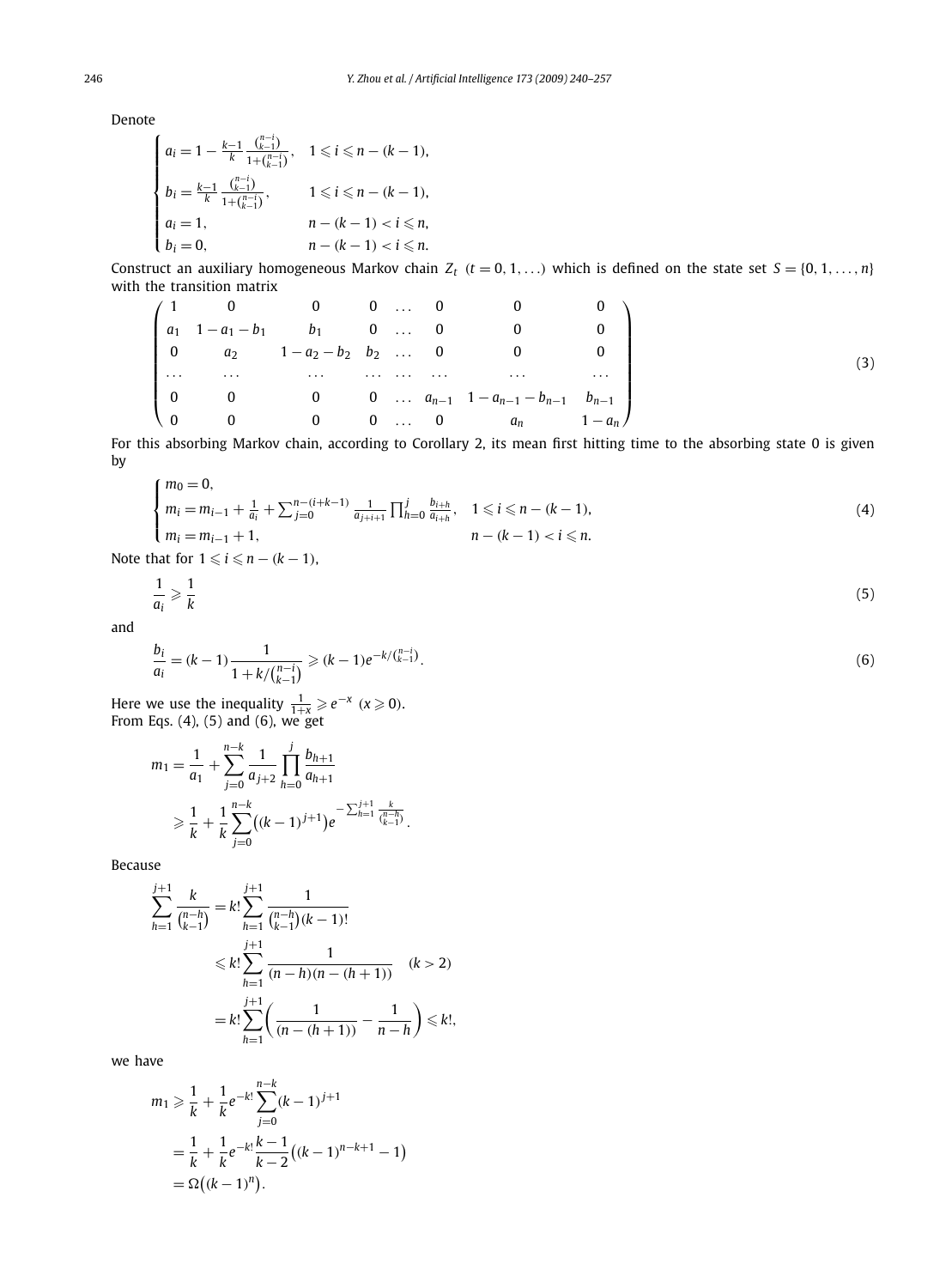Denote

$$
\begin{cases} a_i = 1 - \frac{k-1}{k} \frac{\binom{n-i}{k-1}}{1+\binom{n-i}{k-1}}, & 1 \leq i \leq n-(k-1), \\ b_i = \frac{k-1}{k} \frac{\binom{n-i}{k-1}}{1+\binom{n-i}{k-1}}, & 1 \leq i \leq n-(k-1), \\ a_i = 1, & n-(k-1) < i \leq n, \\ b_i = 0, & n-(k-1) < i \leq n. \end{cases}
$$

Construct an auxiliary homogeneous Markov chain  $Z_t$   $(t = 0, 1, \ldots)$  which is defined on the state set  $S = \{0, 1, \ldots, n\}$ with the transition matrix

$$
\begin{pmatrix}\n1 & 0 & 0 & 0 & \dots & 0 & 0 & 0 \\
a_1 & 1 - a_1 - b_1 & b_1 & 0 & \dots & 0 & 0 & 0 \\
0 & a_2 & 1 - a_2 - b_2 & b_2 & \dots & 0 & 0 & 0 \\
\vdots & \vdots & \vdots & \vdots & \vdots & \ddots & \vdots & \vdots & \vdots \\
0 & 0 & 0 & 0 & \dots & a_{n-1} & 1 - a_{n-1} - b_{n-1} & b_{n-1} \\
0 & 0 & 0 & 0 & \dots & 0 & a_n & 1 - a_n\n\end{pmatrix}
$$
\n(3)

For this absorbing Markov chain, according to Corollary 2, its mean first hitting time to the absorbing state 0 is given by

$$
\begin{cases}\nm_0 = 0, \\
m_i = m_{i-1} + \frac{1}{a_i} + \sum_{j=0}^{n-(i+k-1)} \frac{1}{a_{j+i+1}} \prod_{h=0}^j \frac{b_{i+h}}{a_{i+h}}, \quad 1 \le i \le n-(k-1), \\
m_i = m_{i-1} + 1, \\
n - (k-1) < i \le n.\n\end{cases} \tag{4}
$$

Note that for  $1 \leq i \leq n - (k - 1)$ ,

$$
\frac{1}{a_i} \geqslant \frac{1}{k} \tag{5}
$$

and

$$
\frac{b_i}{a_i} = (k-1)\frac{1}{1 + k/\binom{n-i}{k-1}} \ge (k-1)e^{-k/\binom{n-i}{k-1}}.
$$
\n<sup>(6)</sup>

Here we use the inequality  $\frac{1}{1+x} \geq e^{-x}$  ( $x \geq 0$ ).<br>From Eqs. (4), (5) and (6), we get

$$
m_1 = \frac{1}{a_1} + \sum_{j=0}^{n-k} \frac{1}{a_{j+2}} \prod_{h=0}^j \frac{b_{h+1}}{a_{h+1}}
$$
  
\n
$$
\geq \frac{1}{k} + \frac{1}{k} \sum_{j=0}^{n-k} ((k-1)^{j+1}) e^{-\sum_{h=1}^{j+1} \frac{k}{\binom{n-h}{k-1}}}.
$$

Because

$$
\sum_{h=1}^{j+1} \frac{k}{\binom{n-h}{k-1}} = k! \sum_{h=1}^{j+1} \frac{1}{\binom{n-h}{k-1}(k-1)!}
$$
  

$$
\leq k! \sum_{h=1}^{j+1} \frac{1}{(n-h)(n-(h+1))} \quad (k > 2)
$$
  

$$
= k! \sum_{h=1}^{j+1} \left( \frac{1}{(n-(h+1))} - \frac{1}{n-h} \right) \leq k!,
$$

we have

$$
m_1 \ge \frac{1}{k} + \frac{1}{k} e^{-k!} \sum_{j=0}^{n-k} (k-1)^{j+1}
$$
  
=  $\frac{1}{k} + \frac{1}{k} e^{-k!} \frac{k-1}{k-2} ((k-1)^{n-k+1} - 1)$   
=  $\Omega((k-1)^n)$ .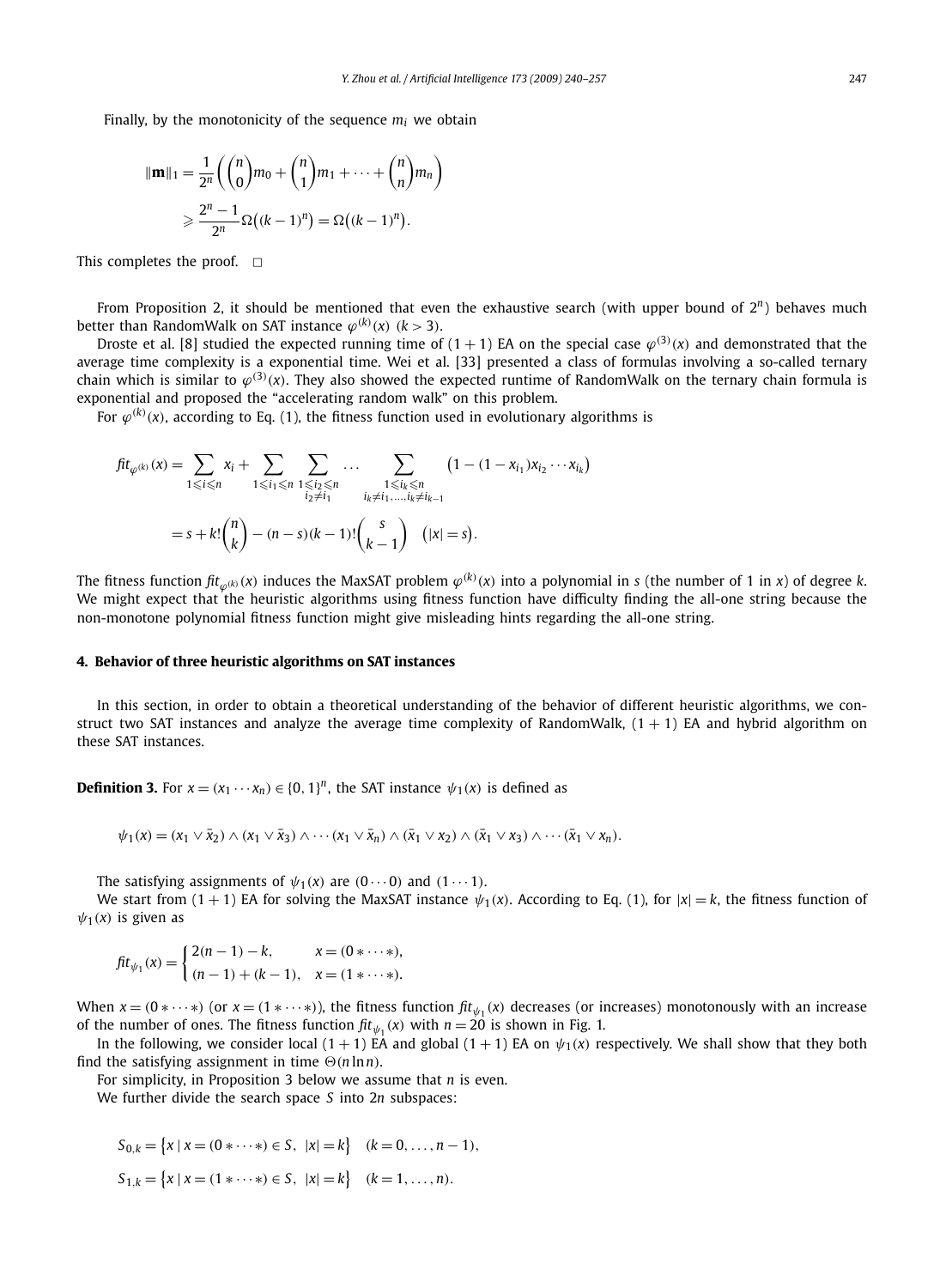Finally, by the monotonicity of the sequence  $m_i$  we obtain

$$
\|\mathbf{m}\|_1 = \frac{1}{2^n} \left( {n \choose 0} m_0 + {n \choose 1} m_1 + \dots + {n \choose n} m_n \right)
$$
  
\n
$$
\geq \frac{2^n - 1}{2^n} \Omega((k - 1)^n) = \Omega((k - 1)^n).
$$

This completes the proof.  $\Box$ 

From Proposition 2, it should be mentioned that even the exhaustive search (with upper bound of 2*n*) behaves much better than RandomWalk on SAT instance  $\varphi^{(k)}(\mathsf{x})$   $(k>3)$ .

Droste et al. [8] studied the expected running time of (1 + 1) EA on the special case  $\varphi^{(3)}(x)$  and demonstrated that the average time complexity is a exponential time. Wei et al. [33] presented a class of formulas involving a so-called ternary chain which is similar to  $\varphi^{(3)}(x)$ . They also showed the expected runtime of RandomWalk on the ternary chain formula is exponential and proposed the "accelerating random walk" on this problem.

For  $\varphi^{(k)}(\mathsf{x})$ , according to Eq. (1), the fitness function used in evolutionary algorithms is

$$
fit_{\varphi^{(k)}}(x) = \sum_{1 \leq i \leq n} x_i + \sum_{1 \leq i_1 \leq n} \sum_{\substack{1 \leq i_2 \leq n \\ i_2 \neq i_1}} \dots \sum_{\substack{1 \leq i_k \leq n \\ i_k \neq i_1, \dots, i_k \neq i_{k-1}}} (1 - (1 - x_{i_1})x_{i_2} \cdots x_{i_k})
$$
  
=  $s + k! {n \choose k} - (n - s)(k - 1)! {s \choose k - 1} (|x| = s).$ 

The fitness function  $\textit{fit}_{\varphi^{(k)}}(x)$  induces the MaxSAT problem  $\varphi^{(k)}(x)$  into a polynomial in s (the number of 1 in x) of degree k. We might expect that the heuristic algorithms using fitness function have difficulty finding the all-one string because the non-monotone polynomial fitness function might give misleading hints regarding the all-one string.

#### **4. Behavior of three heuristic algorithms on SAT instances**

In this section, in order to obtain a theoretical understanding of the behavior of different heuristic algorithms, we construct two SAT instances and analyze the average time complexity of RandomWalk,  $(1 + 1)$  EA and hybrid algorithm on these SAT instances.

**Definition 3.** For  $x = (x_1 \cdots x_n) \in \{0, 1\}^n$ , the SAT instance  $\psi_1(x)$  is defined as

$$
\psi_1(x)=(x_1\vee \bar{x}_2)\wedge (x_1\vee \bar{x}_3)\wedge \cdots (x_1\vee \bar{x}_n)\wedge (\bar{x}_1\vee x_2)\wedge (\bar{x}_1\vee x_3)\wedge \cdots (\bar{x}_1\vee x_n).
$$

The satisfying assignments of  $\psi_1(x)$  are  $(0 \cdots 0)$  and  $(1 \cdots 1)$ .

We start from  $(1 + 1)$  EA for solving the MaxSAT instance  $\psi_1(x)$ . According to Eq. (1), for  $|x| = k$ , the fitness function of  $\psi_1(x)$  is given as

$$
fit_{\psi_1}(x) = \begin{cases} 2(n-1) - k, & x = (0 * \cdots *), \\ (n-1) + (k-1), & x = (1 * \cdots *). \end{cases}
$$

When  $x = (0 \times \cdots \times)$  (or  $x = (1 \times \cdots \times)$ ), the fitness function  $\int f(t) f(x)$  decreases (or increases) monotonously with an increase of the number of ones. The fitness function  $\int ft_{\psi_1}(x)$  with  $n = 20$  is shown in Fig. 1.

In the following, we consider local  $(1 + 1)$  EA and global  $(1 + 1)$  EA on  $\psi_1(x)$  respectively. We shall show that they both find the satisfying assignment in time  $\Theta(n \ln n)$ .

For simplicity, in Proposition 3 below we assume that *n* is even.

We further divide the search space *S* into 2*n* subspaces:

$$
S_{0,k} = \{x \mid x = (0 * \cdots *) \in S, \ |x| = k\} \quad (k = 0, \ldots, n - 1),
$$
  

$$
S_{1,k} = \{x \mid x = (1 * \cdots *) \in S, \ |x| = k\} \quad (k = 1, \ldots, n).
$$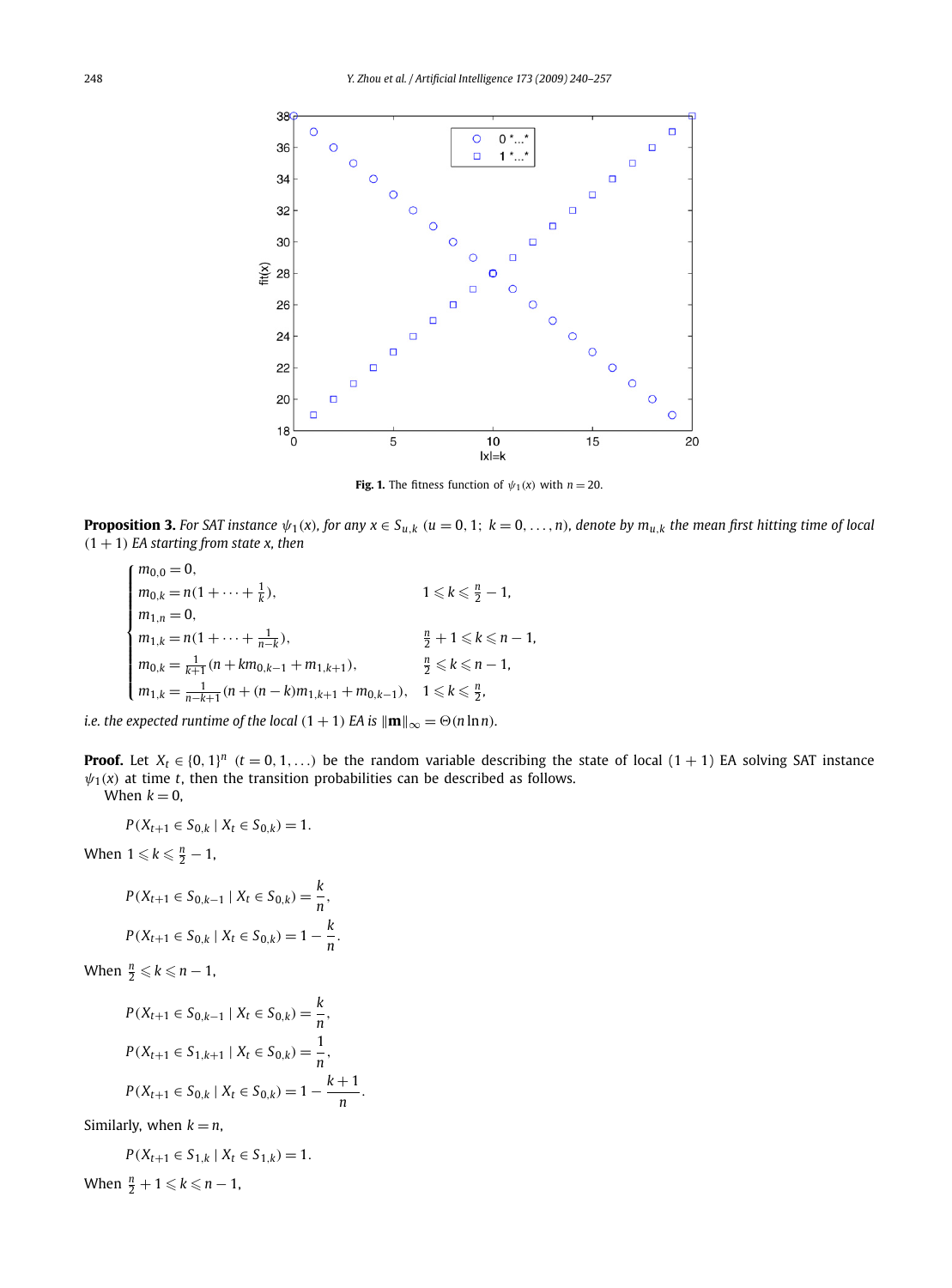

**Fig. 1.** The fitness function of  $\psi_1(x)$  with  $n = 20$ .

**Proposition 3.** For SAT instance  $\psi_1(x)$ , for any  $x \in S_{u,k}$   $(u = 0, 1; k = 0, ..., n)$ , denote by  $m_{u,k}$  the mean first hitting time of local  $(1 + 1)$  *EA starting from state x, then* 

$$
\begin{cases}\nm_{0,0} = 0, & 1 \leq k \leq \frac{n}{2} - 1, \\
m_{0,k} = n(1 + \dots + \frac{1}{k}), & 1 \leq k \leq \frac{n}{2} - 1, \\
m_{1,n} = 0, & \frac{n}{2} + 1 \leq k \leq n - 1, \\
m_{0,k} = \frac{1}{k+1}(n + km_{0,k-1} + m_{1,k+1}), & \frac{n}{2} \leq k \leq n - 1, \\
m_{1,k} = \frac{1}{n-k+1}(n + (n-k)m_{1,k+1} + m_{0,k-1}), & 1 \leq k \leq \frac{n}{2}.\n\end{cases}
$$

*i.e. the expected runtime of the local*  $(1 + 1)$  *EA* is  $\|\mathbf{m}\|_{\infty} = \Theta(n \ln n)$ *.* 

**Proof.** Let  $X_t \in \{0, 1\}^n$  ( $t = 0, 1, \ldots$ ) be the random variable describing the state of local (1 + 1) EA solving SAT instance  $\psi_1(x)$  at time *t*, then the transition probabilities can be described as follows. When  $k - 0$ 

$$
when k=0,
$$

$$
P(X_{t+1} \in S_{0,k} \mid X_t \in S_{0,k}) = 1.
$$

When  $1 \leqslant k \leqslant \frac{n}{2} - 1$ ,

$$
P(X_{t+1} \in S_{0,k-1} \mid X_t \in S_{0,k}) = \frac{k}{n},
$$
  

$$
P(X_{t+1} \in S_{0,k} \mid X_t \in S_{0,k}) = 1 - \frac{k}{n}.
$$

When 
$$
\frac{n}{2} \leq k \leq n-1
$$
,

$$
P(X_{t+1} \in S_{0,k-1} | X_t \in S_{0,k}) = \frac{k}{n},
$$
  
\n
$$
P(X_{t+1} \in S_{1,k+1} | X_t \in S_{0,k}) = \frac{1}{n},
$$
  
\n
$$
P(X_{t+1} \in S_{0,k} | X_t \in S_{0,k}) = 1 - \frac{k+1}{n}.
$$

Similarly, when  $k = n$ ,

$$
P(X_{t+1} \in S_{1,k} \mid X_t \in S_{1,k}) = 1.
$$

When  $\frac{n}{2} + 1 \leq k \leq n - 1$ ,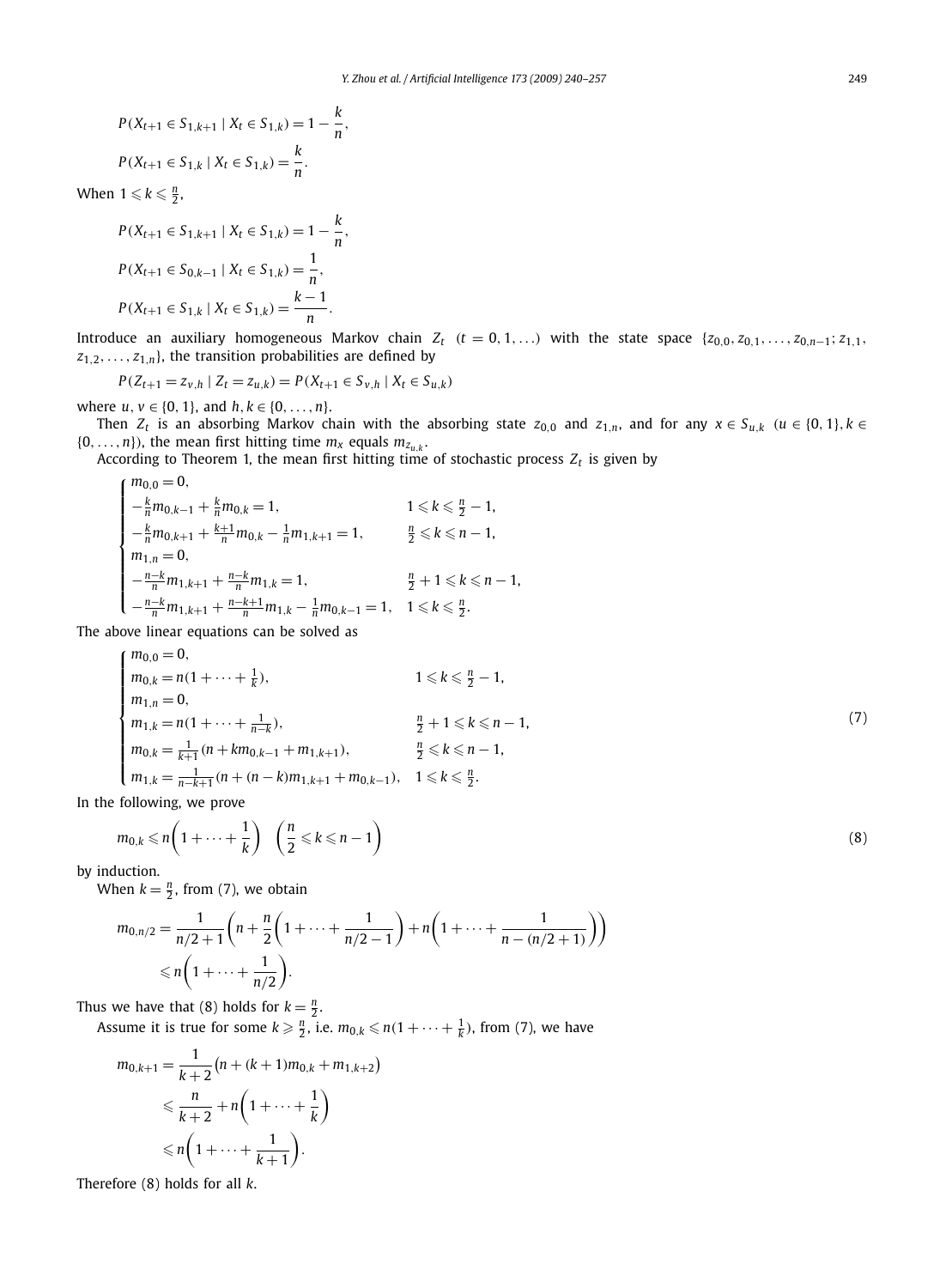$$
P(X_{t+1} \in S_{1,k+1} | X_t \in S_{1,k}) = 1 - \frac{k}{n},
$$
  

$$
P(X_{t+1} \in S_{1,k} | X_t \in S_{1,k}) = \frac{k}{n}.
$$

When  $1 \leqslant k \leqslant \frac{n}{2}$ ,

$$
P(X_{t+1} \in S_{1,k+1} | X_t \in S_{1,k}) = 1 - \frac{k}{n},
$$
  
\n
$$
P(X_{t+1} \in S_{0,k-1} | X_t \in S_{1,k}) = \frac{1}{n},
$$
  
\n
$$
P(X_{t+1} \in S_{1,k} | X_t \in S_{1,k}) = \frac{k-1}{n}.
$$

Introduce an auxiliary homogeneous Markov chain  $Z_t$   $(t = 0, 1, ...)$  with the state space  $\{z_{0,0}, z_{0,1}, \ldots, z_{0,n-1}; z_{1,1}, z_{n-1}\}$  $z_{1,2}, \ldots, z_{1,n}$ , the transition probabilities are defined by

$$
P(Z_{t+1} = z_{v,h} | Z_t = z_{u,k}) = P(X_{t+1} \in S_{v,h} | X_t \in S_{u,k})
$$

where  $u, v \in \{0, 1\}$ , and  $h, k \in \{0, \ldots, n\}$ .

Then  $Z_t$  is an absorbing Markov chain with the absorbing state  $z_{0,0}$  and  $z_{1,n}$ , and for any  $x \in S_{u,k}$   $(u \in \{0,1\}, k \in$  $\{0, \ldots, n\}$ , the mean first hitting time  $m_x$  equals  $m_{z_{u,k}}$ .

According to Theorem 1, the mean first hitting time of stochastic process  $Z_t$  is given by

$$
\begin{cases} m_{0,0}=0, & 1 \leq k \leq \frac{n}{2}-1, \\ -\frac{k}{n}m_{0,k-1}+\frac{k}{n}m_{0,k}=1, & 1 \leq k \leq \frac{n}{2}-1, \\ -\frac{k}{n}m_{0,k+1}+\frac{k+1}{n}m_{0,k}-\frac{1}{n}m_{1,k+1}=1, & \frac{n}{2} \leq k \leq n-1, \\ m_{1,n}=0, & \frac{n-k}{2}m_{1,k+1}+\frac{n-k}{n}m_{1,k}=1, & \frac{n}{2}+1 \leq k \leq n-1, \\ -\frac{n-k}{n}m_{1,k+1}+\frac{n-k+1}{n}m_{1,k}-\frac{1}{n}m_{0,k-1}=1, & 1 \leq k \leq \frac{n}{2}. \end{cases}
$$

The above linear equations can be solved as

$$
\begin{cases}\nm_{0,0} = 0, & 1 \le k \le \frac{n}{2} - 1, \\
m_{1,n} = 0, & 1 \le k \le \frac{n}{2} - 1, \\
m_{1,k} = n(1 + \dots + \frac{1}{n-k}), & \frac{n}{2} + 1 \le k \le n - 1, \\
m_{0,k} = \frac{1}{k+1}(n + km_{0,k-1} + m_{1,k+1}), & \frac{n}{2} \le k \le n - 1, \\
m_{1,k} = \frac{1}{n-k+1}(n + (n-k)m_{1,k+1} + m_{0,k-1}), & 1 \le k \le \frac{n}{2}.\n\end{cases}
$$
\n(7)

In the following, we prove

$$
m_{0,k} \leq n \left( 1 + \dots + \frac{1}{k} \right) \left( \frac{n}{2} \leq k \leq n - 1 \right)
$$
\n(8)

by induction.

When  $k = \frac{n}{2}$ , from (7), we obtain

$$
m_{0,n/2} = \frac{1}{n/2+1} \left( n + \frac{n}{2} \left( 1 + \dots + \frac{1}{n/2-1} \right) + n \left( 1 + \dots + \frac{1}{n - (n/2+1)} \right) \right)
$$
  
\$\leq n \left( 1 + \dots + \frac{1}{n/2} \right).

Thus we have that (8) holds for  $k = \frac{n}{2}$ .

Assume it is true for some  $k \geqslant \frac{n}{2}$ , i.e.  $m_{0,k} \leqslant n(1+\cdots+\frac{1}{k})$ , from (7), we have

$$
m_{0,k+1} = \frac{1}{k+2} (n + (k+1)m_{0,k} + m_{1,k+2})
$$
  
\$\leq \frac{n}{k+2} + n \left(1 + \dots + \frac{1}{k}\right)\$  
\$\leq n \left(1 + \dots + \frac{1}{k+1}\right).

Therefore (8) holds for all *k*.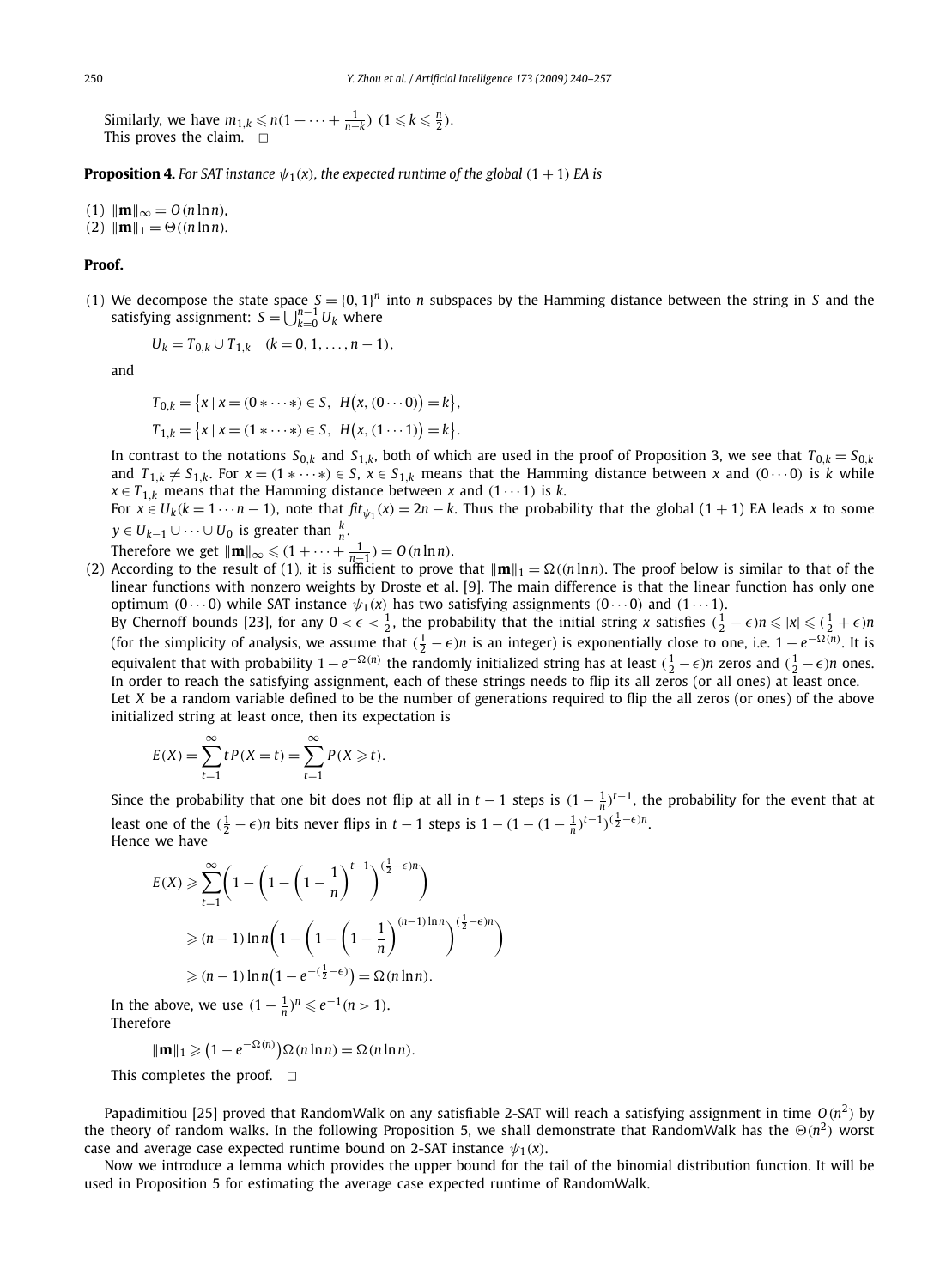Similarly, we have  $m_{1,k} \leq n(1 + \cdots + \frac{1}{n-k}) \quad (1 \leq k \leq \frac{n}{2}).$ This proves the claim.  $\square$ 

**Proposition 4.** For SAT instance  $\psi_1(x)$ , the expected runtime of the global  $(1 + 1)$  EA is

- $(1)$   $\|\mathbf{m}\|_{\infty} = O(n \ln n)$ ,
- $(2)$   $\|\mathbf{m}\|_1 = \Theta((n \ln n)).$

#### **Proof.**

(1) We decompose the state space  $S = \{0, 1\}^n$  into *n* subspaces by the Hamming distance between the string in *S* and the satisfying assignment:  $S = \bigcup_{k=0}^{n-1} U_k$  where

$$
U_k = T_{0,k} \cup T_{1,k} \quad (k = 0, 1, \ldots, n-1),
$$

and

$$
T_{0,k} = \{x \mid x = (0 * \cdots *) \in S, H(x, (0 \cdots 0)) = k\},\
$$
  

$$
T_{1,k} = \{x \mid x = (1 * \cdots *) \in S, H(x, (1 \cdots 1)) = k\}.
$$

In contrast to the notations  $S_{0,k}$  and  $S_{1,k}$ , both of which are used in the proof of Proposition 3, we see that  $T_{0,k} = S_{0,k}$ and  $T_{1,k} \neq S_{1,k}$ . For  $x = (1 * \cdots *) \in S$ ,  $x \in S_{1,k}$  means that the Hamming distance between x and  $(0 \cdots 0)$  is k while  $x \in T_{1,k}$  means that the Hamming distance between *x* and  $(1 \cdots 1)$  is *k*.

For  $x \in U_k (k = 1 \cdots n - 1)$ , note that  $\int f(t) f(x) dt = 2n - k$ . Thus the probability that the global  $(1 + 1)$  EA leads *x* to some *y* ∈ *U*<sub>*k*−1</sub> ∪ ···∪ *U*<sub>0</sub> is greater than  $\frac{k}{n}$ .

Therefore we get  $\|\mathbf{m}\|_{\infty} \leqslant (1 + \cdots + \frac{1}{n-1}) = O(n \ln n)$ .

(2) According to the result of (1), it is sufficient to prove that  $\|\mathbf{m}\|_1 = \Omega((n \ln n)$ . The proof below is similar to that of the linear functions with nonzero weights by Droste et al. [9]. The main difference is that the linear function has only one **optimum**  $(0 \cdots 0)$  while SAT instance  $ψ_1(x)$  has two satisfying assignments  $(0 \cdots 0)$  and  $(1 \cdots 1)$ .

By Chernoff bounds [23], for any  $0 < \epsilon < \frac{1}{2}$ , the probability that the initial string *x* satisfies  $(\frac{1}{2} - \epsilon)n \leqslant |x| \leqslant (\frac{1}{2} + \epsilon)n$ (for the simplicity of analysis, we assume that  $(\frac{1}{2} - \epsilon)n$  is an integer) is exponentially close to one, i.e.  $1 - e^{-\Omega(n)}$ . It is equivalent that with probability  $1-e^{-\Omega(n)}$  the randomly initialized string has at least  $(\frac{1}{2}-\epsilon)n$  zeros and  $(\frac{1}{2}-\epsilon)n$  ones. In order to reach the satisfying assignment, each of these strings needs to flip its all zeros (or all ones) at least once. Let *X* be a random variable defined to be the number of generations required to flip the all zeros (or ones) of the above initialized string at least once, then its expectation is

 $E(X) = \sum_{n=1}^{\infty}$ *t*=1  $t P(X = t) = \sum_{n=1}^{\infty}$ *t*=1  $P(X \geq t)$ .

Since the probability that one bit does not flip at all in  $t-1$  steps is  $(1-\frac{1}{n})^{t-1}$ , the probability for the event that at least one of the  $(\frac{1}{2} - \epsilon)n$  bits never flips in  $t - 1$  steps is  $1 - (1 - (1 - \frac{1}{n})^{t-1})^{(\frac{1}{2} - \epsilon)n}$ . Hence we have

$$
E(X) \geqslant \sum_{t=1}^{\infty} \left( 1 - \left( 1 - \left( 1 - \frac{1}{n} \right)^{t-1} \right)^{(\frac{1}{2} - \epsilon)n} \right)
$$
  
\n
$$
\geqslant (n-1) \ln n \left( 1 - \left( 1 - \left( 1 - \frac{1}{n} \right)^{(n-1)\ln n} \right)^{(\frac{1}{2} - \epsilon)n} \right)
$$
  
\n
$$
\geqslant (n-1) \ln n \left( 1 - e^{-(\frac{1}{2} - \epsilon)} \right) = \Omega(n \ln n).
$$

*In the above, we use*  $(1 - \frac{1}{n})^n$  ≤  $e^{-1}(n > 1)$ . Therefore

 $\|\mathbf{m}\|_1 \geq (1 - e^{-\Omega(n)})\Omega(n \ln n) = \Omega(n \ln n).$ 

This completes the proof.  $\Box$ 

Papadimitiou [25] proved that RandomWalk on any satisfiable 2-SAT will reach a satisfying assignment in time  $O(n^2)$  by the theory of random walks. In the following Proposition 5, we shall demonstrate that RandomWalk has the  $\Theta(n^2)$  worst case and average case expected runtime bound on 2-SAT instance  $\psi_1(x)$ .

Now we introduce a lemma which provides the upper bound for the tail of the binomial distribution function. It will be used in Proposition 5 for estimating the average case expected runtime of RandomWalk.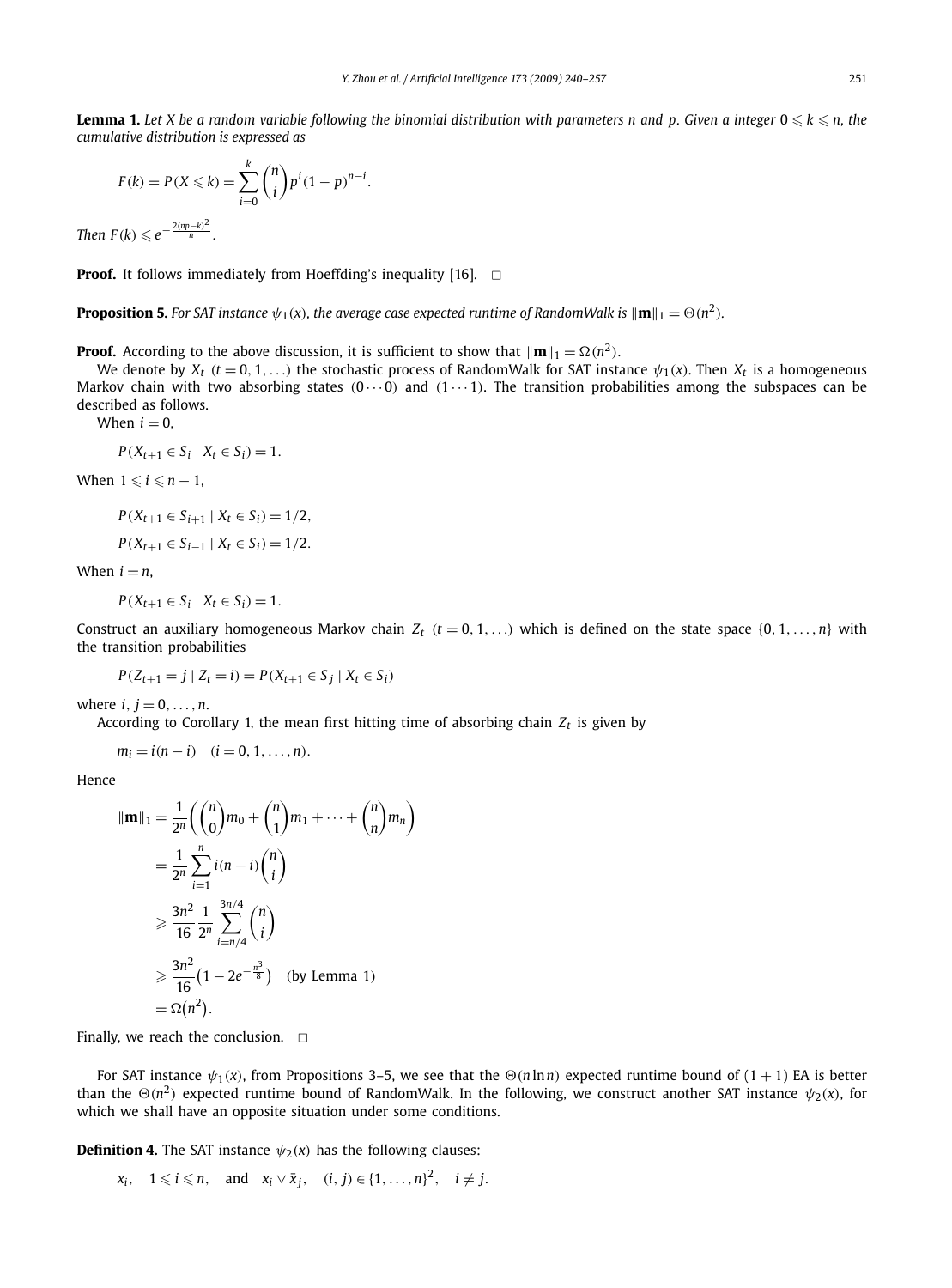$$
F(k) = P(X \le k) = \sum_{i=0}^{k} {n \choose i} p^{i} (1-p)^{n-i}.
$$

*Then*  $F(k) \leqslant e^{-\frac{2(np-k)^2}{n}}$ .

**Proof.** It follows immediately from Hoeffding's inequality [16].  $\Box$ 

**Proposition 5.** For SAT instance  $\psi_1(x)$ , the average case expected runtime of RandomWalk is  $\|\mathbf{m}\|_1 = \Theta(n^2).$ 

**Proof.** According to the above discussion, it is sufficient to show that  $\|\mathbf{m}\|_1 = \Omega(n^2)$ .

We denote by  $X_t$  ( $t = 0, 1, \ldots$ ) the stochastic process of RandomWalk for SAT instance  $\psi_1(x)$ . Then  $X_t$  is a homogeneous Markov chain with two absorbing states *(*0 ··· 0*)* and *(*1 ··· 1*)*. The transition probabilities among the subspaces can be described as follows.

When  $i = 0$ .

$$
P(X_{t+1} \in S_i \mid X_t \in S_i) = 1.
$$

When  $1 \leq i \leq n-1$ ,

$$
P(X_{t+1} \in S_{i+1} | X_t \in S_i) = 1/2,
$$
  
 
$$
P(X_{t+1} \in S_{i-1} | X_t \in S_i) = 1/2.
$$

When  $i = n$ ,

$$
P(X_{t+1} \in S_i \mid X_t \in S_i) = 1.
$$

Construct an auxiliary homogeneous Markov chain  $Z_t$   $(t = 0, 1, \ldots)$  which is defined on the state space  $\{0, 1, \ldots, n\}$  with the transition probabilities

$$
P(Z_{t+1} = j \mid Z_t = i) = P(X_{t+1} \in S_j \mid X_t \in S_i)
$$

where  $i, j = 0, ..., n$ .

According to Corollary 1, the mean first hitting time of absorbing chain  $Z_t$  is given by

$$
m_i = i(n - i)
$$
  $(i = 0, 1, ..., n).$ 

Hence

$$
\|\mathbf{m}\|_{1} = \frac{1}{2^{n}} \left( \binom{n}{0} m_{0} + \binom{n}{1} m_{1} + \dots + \binom{n}{n} m_{n} \right)
$$
  
\n
$$
= \frac{1}{2^{n}} \sum_{i=1}^{n} i(n-i) \binom{n}{i}
$$
  
\n
$$
\geq \frac{3n^{2}}{16} \frac{1}{2^{n}} \sum_{i=n/4}^{3n/4} \binom{n}{i}
$$
  
\n
$$
\geq \frac{3n^{2}}{16} \left(1 - 2e^{-\frac{n^{3}}{8}}\right) \text{ (by Lemma 1)}
$$
  
\n
$$
= \Omega(n^{2}).
$$

Finally, we reach the conclusion.  $\Box$ 

For SAT instance  $\psi_1(x)$ , from Propositions 3–5, we see that the  $\Theta(n \ln n)$  expected runtime bound of  $(1+1)$  EA is better than the  $\Theta(n^2)$  expected runtime bound of RandomWalk. In the following, we construct another SAT instance  $\psi_2(x)$ , for which we shall have an opposite situation under some conditions.

**Definition 4.** The SAT instance  $\psi_2(x)$  has the following clauses:

$$
x_i
$$
,  $1 \le i \le n$ , and  $x_i \vee \overline{x}_j$ ,  $(i, j) \in \{1, ..., n\}^2$ ,  $i \ne j$ .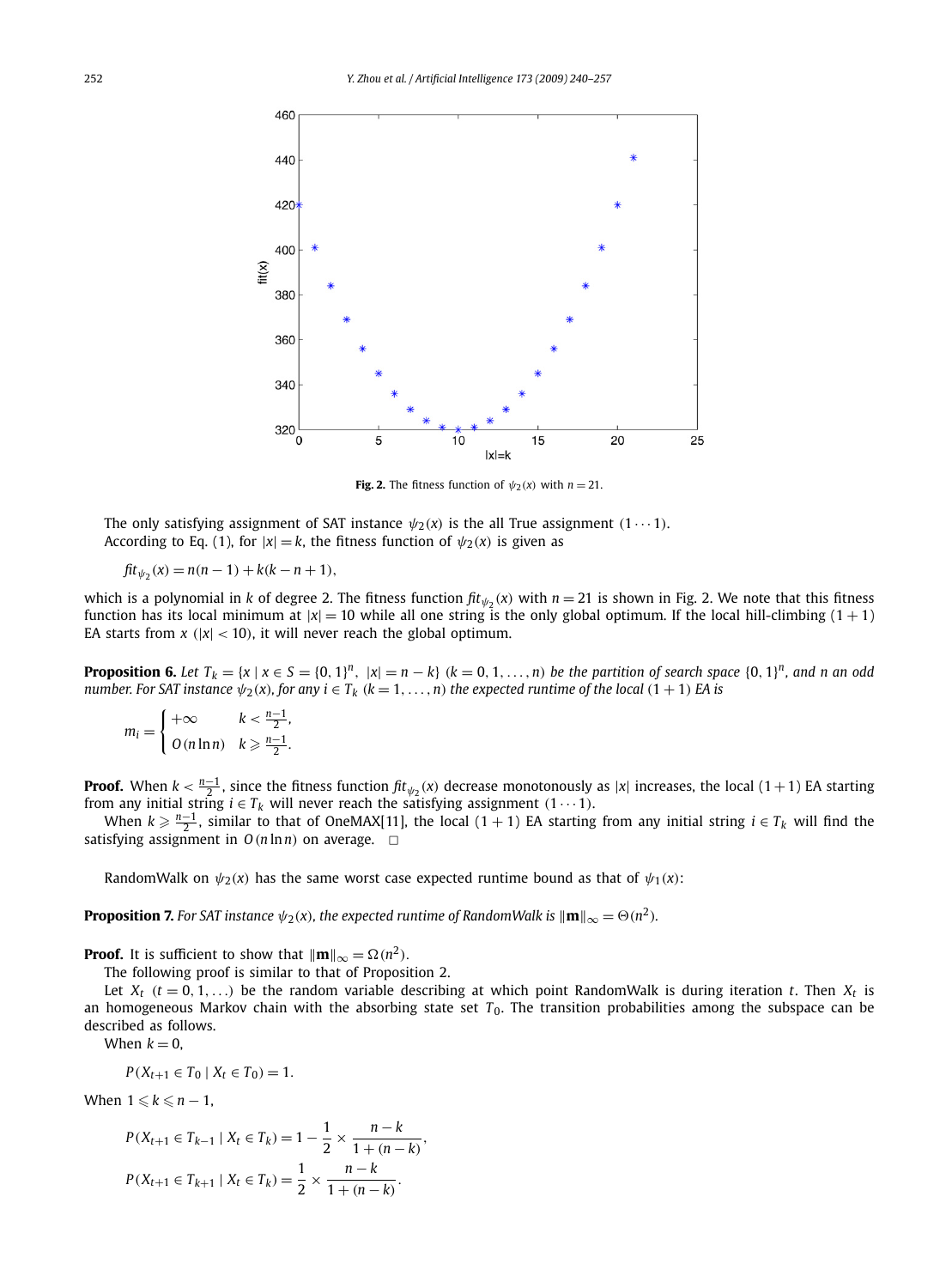

**Fig. 2.** The fitness function of  $\psi_2(x)$  with  $n = 21$ .

The only satisfying assignment of SAT instance  $\psi_2(x)$  is the all True assignment  $(1 \cdots 1)$ . According to Eq. (1), for  $|x| = k$ , the fitness function of  $\psi_2(x)$  is given as

$$
fit_{\psi_2}(x) = n(n-1) + k(k - n + 1),
$$

which is a polynomial in *k* of degree 2. The fitness function  $\hat{f}t_{\psi_2}(x)$  with  $n = 21$  is shown in Fig. 2. We note that this fitness function has its local minimum at  $|x| = 10$  while all one string is the only global optimum. If the local hill-climbing  $(1 + 1)$ EA starts from  $x$  ( $|x|$  < 10), it will never reach the global optimum.

**Proposition 6.** Let  $T_k = \{x \mid x \in S = \{0, 1\}^n, \ |x| = n - k\}$   $(k = 0, 1, ..., n)$  be the partition of search space  $\{0, 1\}^n$ , and n an odd *number. For SAT instance*  $\psi_2(x)$ *, for any*  $i \in T_k$   $(k = 1, \ldots, n)$  *the expected runtime of the local*  $(1 + 1)$  *EA* is

$$
m_i = \begin{cases} +\infty & k < \frac{n-1}{2}, \\ 0(n \ln n) & k \geq \frac{n-1}{2}. \end{cases}
$$

**Proof.** When  $k < \frac{n-1}{2}$ , since the fitness function  $\text{fit}_{\psi_2}(x)$  decrease monotonously as  $|x|$  increases, the local  $(1+1)$  EA starting from any initial string  $i \in T_k$  will never reach the satisfying assignment  $(1 \cdots 1)$ .

When  $k \ge \frac{n-1}{2}$ , similar to that of OneMAX[11], the local (1 + 1) EA starting from any initial string  $i \in T_k$  will find the satisfying assignment in  $O(n \ln n)$  on average.  $\Box$ 

RandomWalk on  $\psi_2(x)$  has the same worst case expected runtime bound as that of  $\psi_1(x)$ :

**Proposition 7.** For SAT instance  $\psi_2(x)$ , the expected runtime of RandomWalk is  $\|\mathbf{m}\|_\infty = \Theta(n^2)$ .

**Proof.** It is sufficient to show that  $\|\mathbf{m}\|_{\infty} = \Omega(n^2)$ .

The following proof is similar to that of Proposition 2.

Let  $X_t$  ( $t = 0, 1, \ldots$ ) be the random variable describing at which point RandomWalk is during iteration *t*. Then  $X_t$  is an homogeneous Markov chain with the absorbing state set T<sub>0</sub>. The transition probabilities among the subspace can be described as follows.

When  $k = 0$ ,

$$
P(X_{t+1} \in T_0 \mid X_t \in T_0) = 1.
$$

When  $1 \leqslant k \leqslant n - 1$ ,

$$
P(X_{t+1} \in T_{k-1} \mid X_t \in T_k) = 1 - \frac{1}{2} \times \frac{n-k}{1+(n-k)},
$$
  

$$
P(X_{t+1} \in T_{k+1} \mid X_t \in T_k) = \frac{1}{2} \times \frac{n-k}{1+(n-k)}.
$$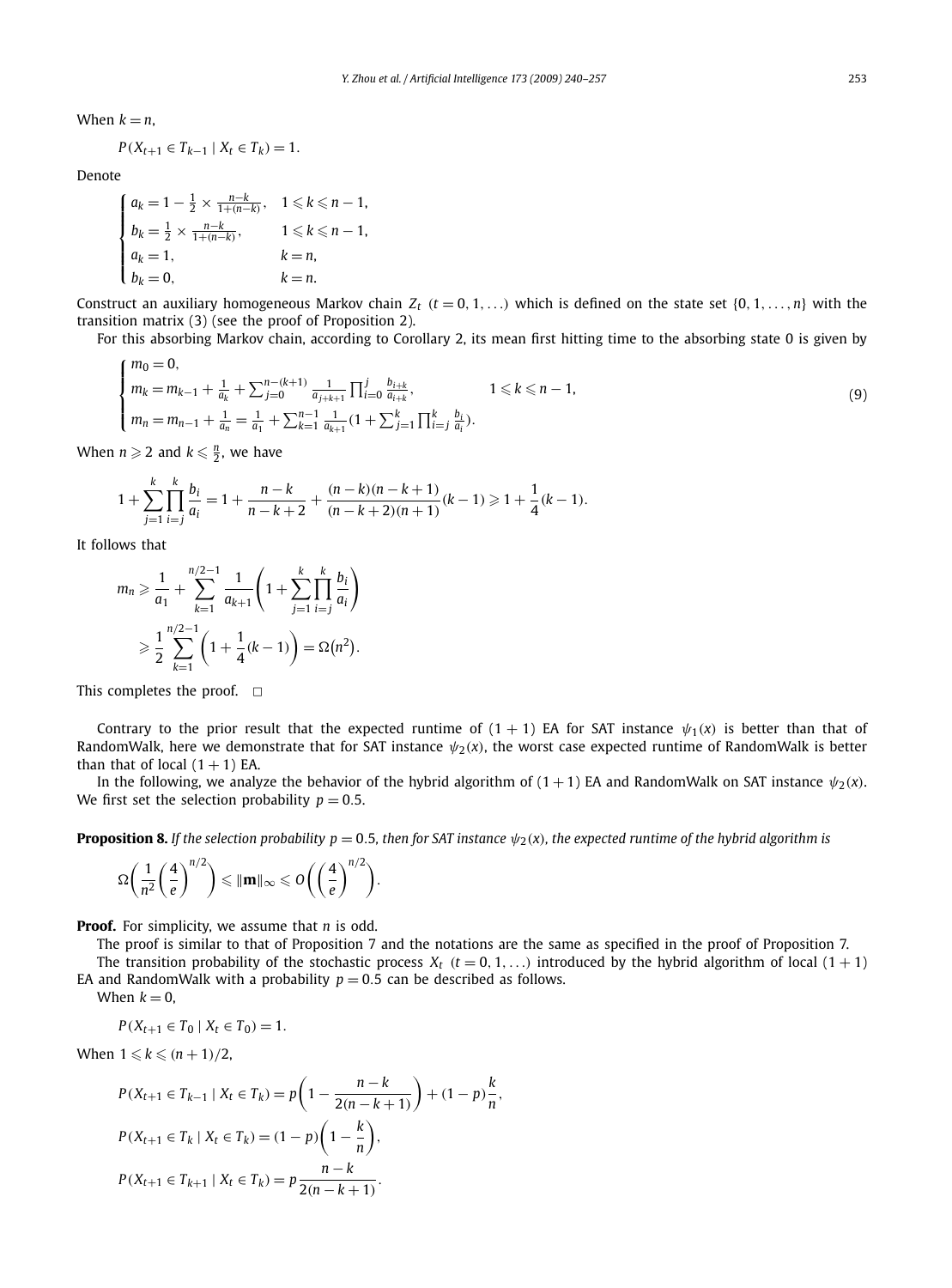When  $k = n$ ,

$$
P(X_{t+1} \in T_{k-1} \mid X_t \in T_k) = 1.
$$

Denote

$$
\begin{cases}\n a_k = 1 - \frac{1}{2} \times \frac{n-k}{1 + (n-k)}, & 1 \le k \le n-1, \\
 b_k = \frac{1}{2} \times \frac{n-k}{1 + (n-k)}, & 1 \le k \le n-1, \\
 a_k = 1, & k = n, \\
 b_k = 0, & k = n.\n\end{cases}
$$

Construct an auxiliary homogeneous Markov chain  $Z_t$   $(t = 0, 1, \ldots)$  which is defined on the state set  $\{0, 1, \ldots, n\}$  with the transition matrix (3) (see the proof of Proposition 2).

For this absorbing Markov chain, according to Corollary 2, its mean first hitting time to the absorbing state 0 is given by

$$
\begin{cases}\nm_0 = 0, & n_k = m_{k-1} + \frac{1}{a_k} + \sum_{j=0}^{n-(k+1)} \frac{1}{a_{j+k+1}} \prod_{i=0}^j \frac{b_{i+k}}{a_{i+k}}, & 1 \le k \le n-1, \\
m_n = m_{n-1} + \frac{1}{a_n} = \frac{1}{a_1} + \sum_{k=1}^{n-1} \frac{1}{a_{k+1}} (1 + \sum_{j=1}^k \prod_{i=j}^k \frac{b_i}{a_i}).\n\end{cases}
$$
\n(9)

When  $n \geqslant 2$  and  $k \leqslant \frac{n}{2}$ , we have

$$
1 + \sum_{j=1}^{k} \prod_{i=j}^{k} \frac{b_i}{a_i} = 1 + \frac{n-k}{n-k+2} + \frac{(n-k)(n-k+1)}{(n-k+2)(n+1)}(k-1) \ge 1 + \frac{1}{4}(k-1).
$$

It follows that

$$
m_n \geq \frac{1}{a_1} + \sum_{k=1}^{n/2-1} \frac{1}{a_{k+1}} \left( 1 + \sum_{j=1}^k \prod_{i=j}^k \frac{b_i}{a_i} \right)
$$
  
 
$$
\geq \frac{1}{2} \sum_{k=1}^{n/2-1} \left( 1 + \frac{1}{4} (k-1) \right) = \Omega(n^2).
$$

This completes the proof.  $\Box$ 

Contrary to the prior result that the expected runtime of  $(1 + 1)$  EA for SAT instance  $\psi_1(x)$  is better than that of RandomWalk, here we demonstrate that for SAT instance  $\psi_2(x)$ , the worst case expected runtime of RandomWalk is better than that of local  $(1 + 1)$  EA.

In the following, we analyze the behavior of the hybrid algorithm of  $(1 + 1)$  EA and RandomWalk on SAT instance  $\psi_2(x)$ . We first set the selection probability  $p = 0.5$ .

**Proposition 8.** If the selection probability  $p = 0.5$ , then for SAT instance  $\psi_2(x)$ , the expected runtime of the hybrid algorithm is

$$
\Omega\bigg(\frac{1}{n^2}\bigg(\frac{4}{e}\bigg)^{n/2}\bigg) \leq \|\mathbf{m}\|_{\infty} \leqslant O\bigg(\bigg(\frac{4}{e}\bigg)^{n/2}\bigg).
$$

**Proof.** For simplicity, we assume that *n* is odd.

The proof is similar to that of Proposition 7 and the notations are the same as specified in the proof of Proposition 7.

The transition probability of the stochastic process  $X_t$   $(t = 0, 1, \ldots)$  introduced by the hybrid algorithm of local  $(1 + 1)$ EA and RandomWalk with a probability  $p = 0.5$  can be described as follows.

When  $k = 0$ ,

$$
P(X_{t+1} \in T_0 \mid X_t \in T_0) = 1.
$$

When  $1 \leqslant k \leqslant (n+1)/2$ ,

$$
P(X_{t+1} \in T_{k-1} | X_t \in T_k) = p\left(1 - \frac{n - k}{2(n - k + 1)}\right) + (1 - p)\frac{k}{n},
$$
  

$$
P(X_{t+1} \in T_k | X_t \in T_k) = (1 - p)\left(1 - \frac{k}{n}\right),
$$
  

$$
P(X_{t+1} \in T_{k+1} | X_t \in T_k) = p\frac{n - k}{2(n - k + 1)}.
$$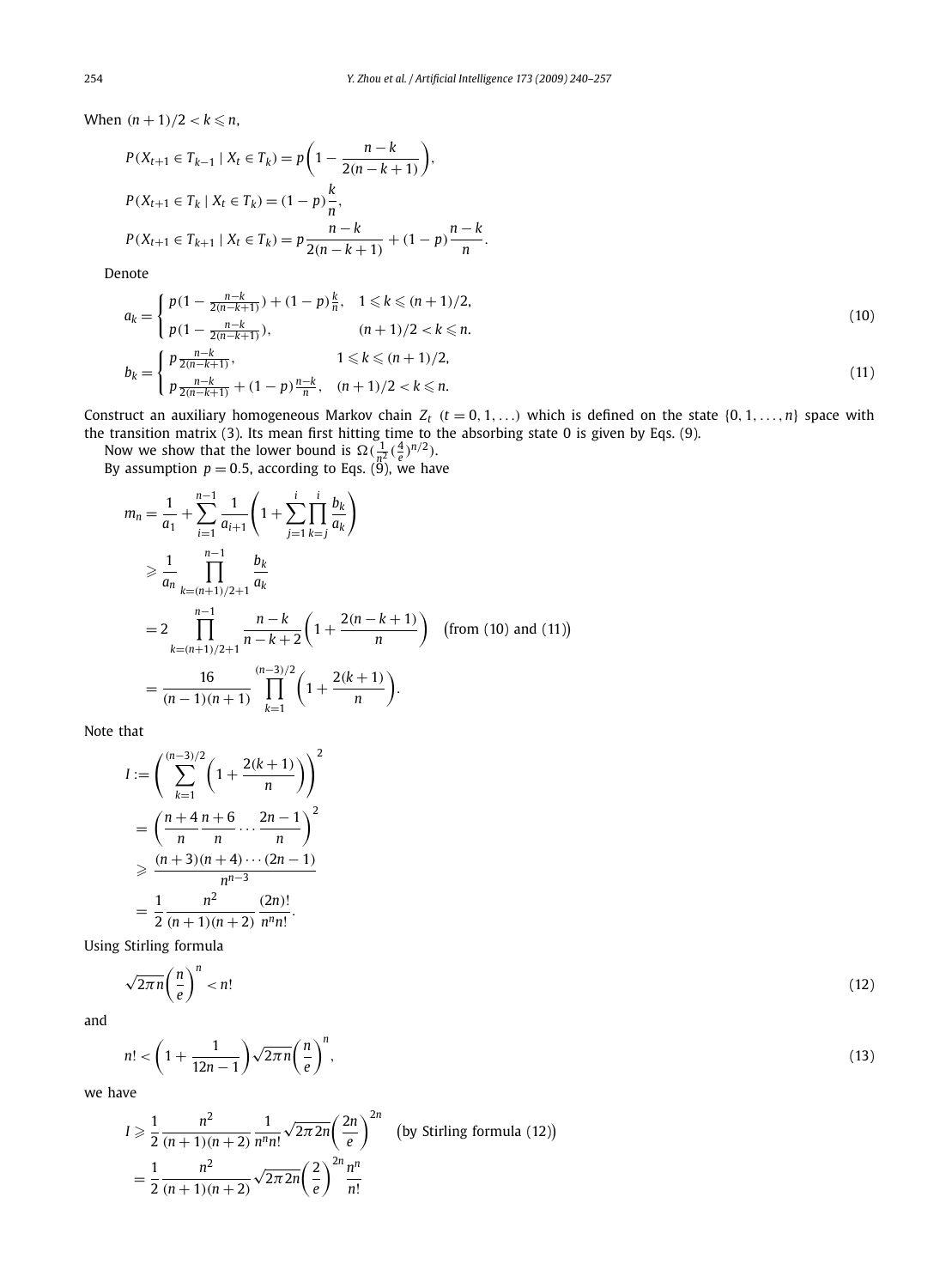When  $(n + 1)/2 < k \leq n$ ,

$$
P(X_{t+1} \in T_{k-1} | X_t \in T_k) = p\left(1 - \frac{n-k}{2(n-k+1)}\right),
$$
  
\n
$$
P(X_{t+1} \in T_k | X_t \in T_k) = (1-p)\frac{k}{n},
$$
  
\n
$$
P(X_{t+1} \in T_{k+1} | X_t \in T_k) = p\frac{n-k}{2(n-k+1)} + (1-p)\frac{n-k}{n}.
$$

Denote

$$
a_{k} = \begin{cases} p(1 - \frac{n-k}{2(n-k+1)}) + (1-p)\frac{k}{n}, & 1 \leq k \leq (n+1)/2, \\ p(1 - \frac{n-k}{2(n-k+1)}), & (n+1)/2 < k \leq n. \end{cases}
$$
\n
$$
b_{k} = \begin{cases} p\frac{n-k}{2(n-k+1)}, & 1 \leq k \leq (n+1)/2, \\ p\frac{n-k}{2(n-k+1)} + (1-p)\frac{n-k}{n}, & (n+1)/2 < k \leq n. \end{cases}
$$
\n
$$
(11)
$$

Construct an auxiliary homogeneous Markov chain  $Z_t$   $(t = 0, 1, \ldots)$  which is defined on the state  $\{0, 1, \ldots, n\}$  space with the transition matrix (3). Its mean first hitting time to the absorbing state 0 is given by Eqs. (9).

Now we show that the lower bound is  $\Omega(\frac{1}{n^2}(\frac{4}{e})^{n/2})$ .

By assumption  $p = 0.5$ , according to Eqs. (9), we have

$$
m_n = \frac{1}{a_1} + \sum_{i=1}^{n-1} \frac{1}{a_{i+1}} \left( 1 + \sum_{j=1}^{i} \prod_{k=j}^{i} \frac{b_k}{a_k} \right)
$$
  
\n
$$
\geq \frac{1}{a_n} \prod_{k=(n+1)/2+1}^{n-1} \frac{b_k}{a_k}
$$
  
\n
$$
= 2 \prod_{k=(n+1)/2+1}^{n-1} \frac{n-k}{n-k+2} \left( 1 + \frac{2(n-k+1)}{n} \right) \quad \text{(from (10) and (11))}
$$
  
\n
$$
= \frac{16}{(n-1)(n+1)} \prod_{k=1}^{(n-3)/2} \left( 1 + \frac{2(k+1)}{n} \right).
$$

Note that

$$
I := \left(\sum_{k=1}^{(n-3)/2} \left(1 + \frac{2(k+1)}{n}\right)\right)^2
$$
  
= 
$$
\left(\frac{n+4}{n}\frac{n+6}{n}\cdots\frac{2n-1}{n}\right)^2
$$
  

$$
\geq \frac{(n+3)(n+4)\cdots(2n-1)}{n^{n-3}}
$$
  
= 
$$
\frac{1}{2}\frac{n^2}{(n+1)(n+2)}\frac{(2n)!}{n^nn!}.
$$

Using Stirling formula

$$
\sqrt{2\pi n} \left(\frac{n}{e}\right)^n < n! \tag{12}
$$

and

$$
n! < \left(1 + \frac{1}{12n - 1}\right) \sqrt{2\pi n} \left(\frac{n}{e}\right)^n,\tag{13}
$$

we have

$$
I \ge \frac{1}{2} \frac{n^2}{(n+1)(n+2)} \frac{1}{n^n n!} \sqrt{2\pi 2n} \left(\frac{2n}{e}\right)^{2n} \quad \text{(by Stirling formula (12))}
$$
\n
$$
= \frac{1}{2} \frac{n^2}{(n+1)(n+2)} \sqrt{2\pi 2n} \left(\frac{2}{e}\right)^{2n} \frac{n^n}{n!}
$$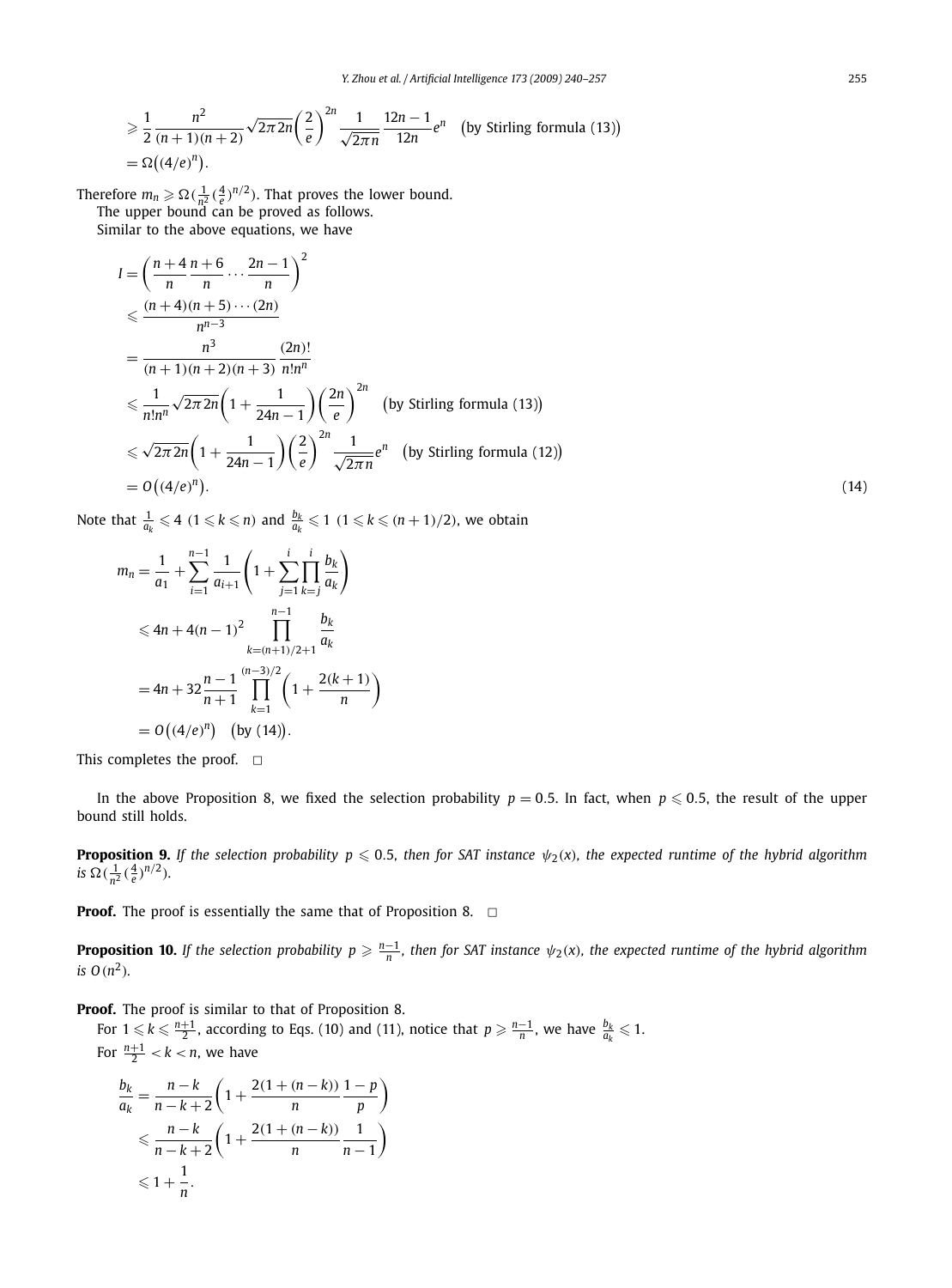$$
\geq \frac{1}{2} \frac{n^2}{(n+1)(n+2)} \sqrt{2\pi 2n} \left(\frac{2}{e}\right)^{2n} \frac{1}{\sqrt{2\pi n}} \frac{12n-1}{12n} e^n \quad \text{(by Stirling formula (13))}
$$
  
=  $\Omega((4/e)^n)$ .

Therefore  $m_n \ge \Omega(\frac{1}{n^2}(\frac{4}{e})^{n/2})$ . That proves the lower bound. The upper bound can be proved as follows.

Similar to the above equations, we have

$$
I = \left(\frac{n+4}{n}\frac{n+6}{n}\cdots\frac{2n-1}{n}\right)^2
$$
  
\n
$$
\leq \frac{(n+4)(n+5)\cdots(2n)}{n^{n-3}}
$$
  
\n
$$
= \frac{n^3}{(n+1)(n+2)(n+3)} \frac{(2n)!}{n!n^n}
$$
  
\n
$$
\leq \frac{1}{n!n^n} \sqrt{2\pi 2n} \left(1 + \frac{1}{24n-1}\right) \left(\frac{2n}{e}\right)^{2n} \quad \text{(by Stirling formula (13))}
$$
  
\n
$$
\leq \sqrt{2\pi 2n} \left(1 + \frac{1}{24n-1}\right) \left(\frac{2}{e}\right)^{2n} \frac{1}{\sqrt{2\pi n}} e^n \quad \text{(by Stirling formula (12))}
$$
  
\n
$$
= O\left((4/e)^n\right).
$$
 (14)

Note that  $\frac{1}{a_k} \leqslant 4$   $(1 \leqslant k \leqslant n)$  and  $\frac{b_k}{a_k} \leqslant 1$   $(1 \leqslant k \leqslant (n+1)/2)$ , we obtain

$$
m_n = \frac{1}{a_1} + \sum_{i=1}^{n-1} \frac{1}{a_{i+1}} \left( 1 + \sum_{j=1}^{i} \prod_{k=j}^{i} \frac{b_k}{a_k} \right)
$$
  
\n
$$
\le 4n + 4(n - 1)^2 \prod_{k=(n+1)/2+1}^{n-1} \frac{b_k}{a_k}
$$
  
\n
$$
= 4n + 32 \frac{n-1}{n+1} \prod_{k=1}^{(n-3)/2} \left( 1 + \frac{2(k+1)}{n} \right)
$$
  
\n
$$
= O\left( (4/e)^n \right) \quad \text{(by (14))}.
$$

This completes the proof.  $\square$ 

In the above Proposition 8, we fixed the selection probability  $p=0.5$ . In fact, when  $p\leqslant 0.5,$  the result of the upper bound still holds.

**Proposition 9.** If the selection probability  $p \le 0.5$ , then for SAT instance  $\psi_2(x)$ , the expected runtime of the hybrid algorithm *is*  $\Omega(\frac{1}{n^2}(\frac{4}{e})^{n/2})$ *.* 

**Proof.** The proof is essentially the same that of Proposition 8.  $\Box$ 

**Proposition 10.** If the selection probability  $p \geqslant \frac{n-1}{n}$ , then for SAT instance  $\psi_2(x)$ , the expected runtime of the hybrid algorithm *is*  $O(n^2)$ *.* 

**Proof.** The proof is similar to that of Proposition 8.

For  $1 \leqslant k \leqslant \frac{n+1}{2}$ , according to Eqs. (10) and (11), notice that  $p \geqslant \frac{n-1}{n}$ , we have  $\frac{b_k}{a_k} \leqslant 1$ . For  $\frac{n+1}{2} < k < n$ , we have

$$
\frac{b_k}{a_k} = \frac{n-k}{n-k+2} \left( 1 + \frac{2(1 + (n-k))}{n} \frac{1-p}{p} \right)
$$
  
\$\leq \frac{n-k}{n-k+2} \left( 1 + \frac{2(1 + (n-k))}{n} \frac{1}{n-1} \right)\$  
\$\leq 1 + \frac{1}{n}\$.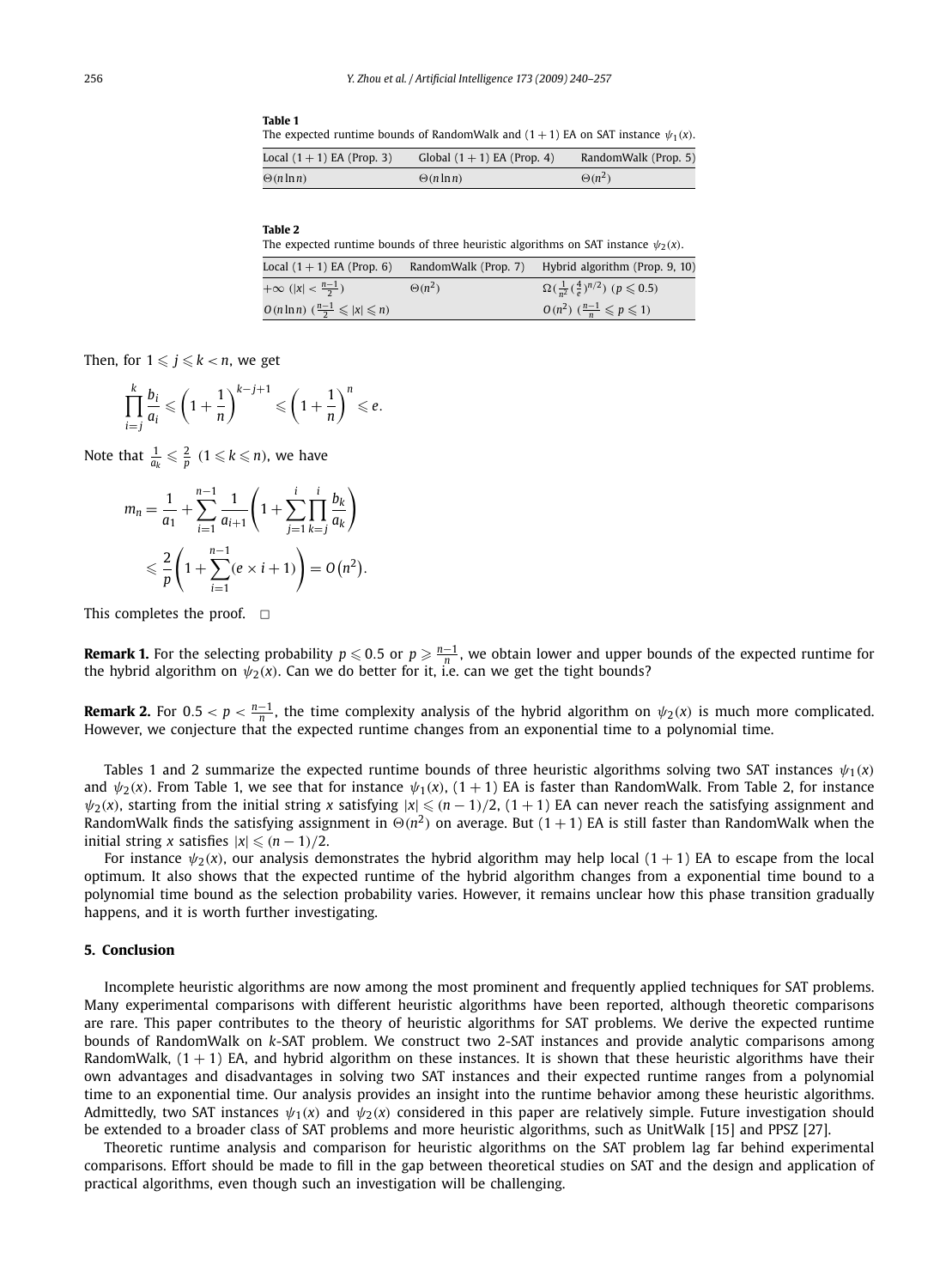The expected runtime bounds of RandomWalk and  $(1 + 1)$  EA on SAT instance  $\psi_1(x)$ .

| Local $(1 + 1)$ EA (Prop. 3) | Global $(1 + 1)$ EA (Prop. 4) | RandomWalk (Prop. 5) |
|------------------------------|-------------------------------|----------------------|
| $\Theta(n \ln n)$            | $\Theta(n \ln n)$             | $\Theta(n^2)$        |

|--|--|

**Table 1**

The expected runtime bounds of three heuristic algorithms on SAT instance  $\psi_2(x)$ .

| Local $(1+1)$ EA (Prop. 6)                                | RandomWalk (Prop. 7) | Hybrid algorithm (Prop. 9, 10)                              |
|-----------------------------------------------------------|----------------------|-------------------------------------------------------------|
| $+\infty$ ( x  < $\frac{n-1}{2}$ )                        | $\Theta(n^2)$        | $\Omega(\frac{1}{n^2}(\frac{4}{p})^{n/2})$ $(p \le 0.5)$    |
| $O(n \ln n)$ $\left(\frac{n-1}{2} \leq  x  \leq n\right)$ |                      | $O(n^2)$ $\left(\frac{n-1}{n}\leqslant p\leqslant 1\right)$ |

Then, for  $1 \leqslant j \leqslant k < n$ , we get

$$
\prod_{i=j}^k \frac{b_i}{a_i} \leqslant \left(1+\frac{1}{n}\right)^{k-j+1} \leqslant \left(1+\frac{1}{n}\right)^n \leqslant e.
$$

Note that  $\frac{1}{a_k} \leqslant \frac{2}{p}$   $(1 \leqslant k \leqslant n)$ , we have

$$
m_n = \frac{1}{a_1} + \sum_{i=1}^{n-1} \frac{1}{a_{i+1}} \left( 1 + \sum_{j=1}^i \prod_{k=j}^i \frac{b_k}{a_k} \right)
$$
  
 
$$
\leq \frac{2}{p} \left( 1 + \sum_{i=1}^{n-1} (e \times i + 1) \right) = O(n^2).
$$

This completes the proof.  $\Box$ 

**Remark 1.** For the selecting probability  $p \le 0.5$  or  $p \ge \frac{n-1}{n}$ , we obtain lower and upper bounds of the expected runtime for the hybrid algorithm on  $\psi_2(x)$ . Can we do better for it, i.e. can we get the tight bounds?

**Remark 2.** For  $0.5 < p < \frac{n-1}{n}$ , the time complexity analysis of the hybrid algorithm on  $\psi_2(x)$  is much more complicated. However, we conjecture that the expected runtime changes from an exponential time to a polynomial time.

Tables 1 and 2 summarize the expected runtime bounds of three heuristic algorithms solving two SAT instances *ψ*1*(x)* and  $\psi_2(x)$ . From Table 1, we see that for instance  $\psi_1(x)$ ,  $(1 + 1)$  EA is faster than RandomWalk. From Table 2, for instance  $\psi_2(x)$ , starting from the initial string *x* satisfying  $|x| \leqslant (n-1)/2$ ,  $(1+1)$  EA can never reach the satisfying assignment and RandomWalk finds the satisfying assignment in  $\Theta(n^2)$  on average. But (1 + 1) EA is still faster than RandomWalk when the initial string *x* satisfies  $|x| \leq (n-1)/2$ .

For instance  $\psi_2(x)$ , our analysis demonstrates the hybrid algorithm may help local  $(1 + 1)$  EA to escape from the local optimum. It also shows that the expected runtime of the hybrid algorithm changes from a exponential time bound to a polynomial time bound as the selection probability varies. However, it remains unclear how this phase transition gradually happens, and it is worth further investigating.

#### **5. Conclusion**

Incomplete heuristic algorithms are now among the most prominent and frequently applied techniques for SAT problems. Many experimental comparisons with different heuristic algorithms have been reported, although theoretic comparisons are rare. This paper contributes to the theory of heuristic algorithms for SAT problems. We derive the expected runtime bounds of RandomWalk on *k*-SAT problem. We construct two 2-SAT instances and provide analytic comparisons among RandomWalk,  $(1 + 1)$  EA, and hybrid algorithm on these instances. It is shown that these heuristic algorithms have their own advantages and disadvantages in solving two SAT instances and their expected runtime ranges from a polynomial time to an exponential time. Our analysis provides an insight into the runtime behavior among these heuristic algorithms. Admittedly, two SAT instances  $\psi_1(x)$  and  $\psi_2(x)$  considered in this paper are relatively simple. Future investigation should be extended to a broader class of SAT problems and more heuristic algorithms, such as UnitWalk [15] and PPSZ [27].

Theoretic runtime analysis and comparison for heuristic algorithms on the SAT problem lag far behind experimental comparisons. Effort should be made to fill in the gap between theoretical studies on SAT and the design and application of practical algorithms, even though such an investigation will be challenging.